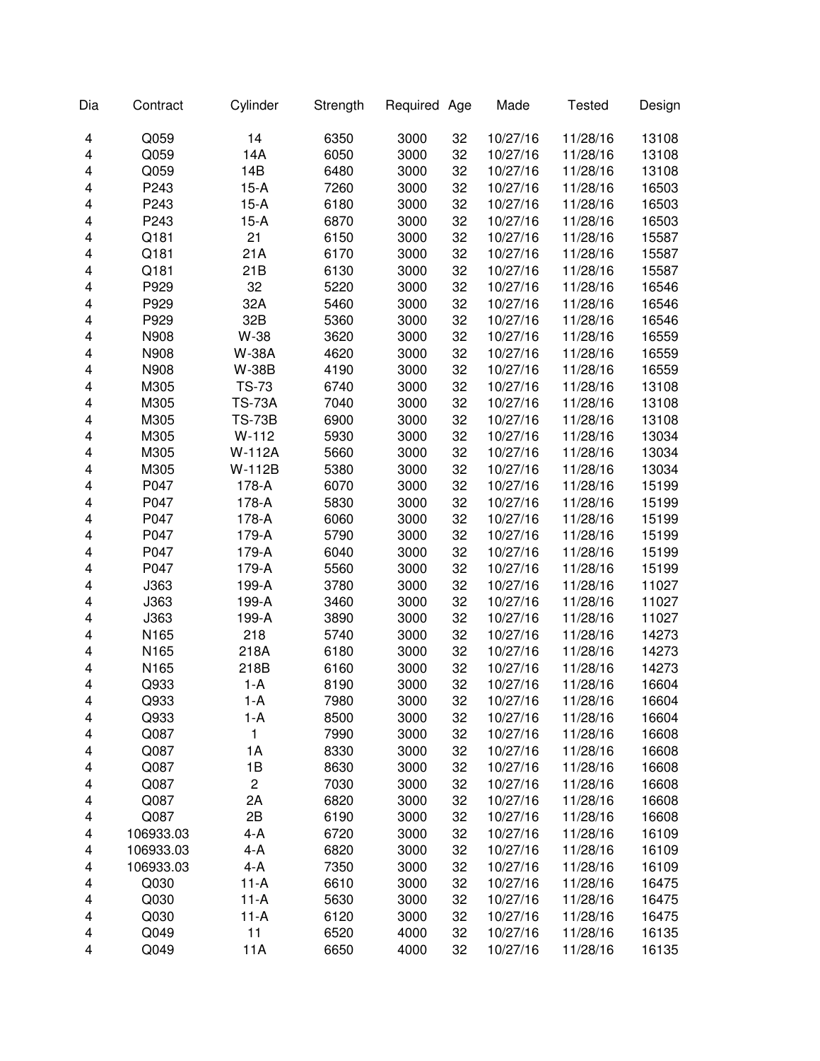| Dia | Contract  | Cylinder      | Strength | Required Age |    | Made     | <b>Tested</b> | Design |
|-----|-----------|---------------|----------|--------------|----|----------|---------------|--------|
| 4   | Q059      | 14            | 6350     | 3000         | 32 | 10/27/16 | 11/28/16      | 13108  |
| 4   | Q059      | 14A           | 6050     | 3000         | 32 | 10/27/16 | 11/28/16      | 13108  |
| 4   | Q059      | 14B           | 6480     | 3000         | 32 | 10/27/16 | 11/28/16      | 13108  |
| 4   | P243      | $15-A$        | 7260     | 3000         | 32 | 10/27/16 | 11/28/16      | 16503  |
| 4   | P243      | $15-A$        | 6180     | 3000         | 32 | 10/27/16 | 11/28/16      | 16503  |
| 4   | P243      | $15-A$        | 6870     | 3000         | 32 | 10/27/16 | 11/28/16      | 16503  |
| 4   | Q181      | 21            | 6150     | 3000         | 32 | 10/27/16 | 11/28/16      | 15587  |
| 4   | Q181      | 21A           | 6170     | 3000         | 32 | 10/27/16 | 11/28/16      | 15587  |
| 4   | Q181      | 21B           | 6130     | 3000         | 32 | 10/27/16 | 11/28/16      | 15587  |
| 4   | P929      | 32            | 5220     | 3000         | 32 | 10/27/16 | 11/28/16      | 16546  |
| 4   | P929      | 32A           | 5460     | 3000         | 32 | 10/27/16 | 11/28/16      | 16546  |
| 4   | P929      | 32B           | 5360     | 3000         | 32 | 10/27/16 | 11/28/16      | 16546  |
| 4   | N908      | W-38          | 3620     | 3000         | 32 | 10/27/16 | 11/28/16      | 16559  |
| 4   | N908      | <b>W-38A</b>  | 4620     | 3000         | 32 | 10/27/16 | 11/28/16      | 16559  |
| 4   | N908      | <b>W-38B</b>  | 4190     | 3000         | 32 | 10/27/16 | 11/28/16      | 16559  |
| 4   | M305      | <b>TS-73</b>  | 6740     | 3000         | 32 | 10/27/16 | 11/28/16      | 13108  |
| 4   | M305      | <b>TS-73A</b> | 7040     | 3000         | 32 | 10/27/16 | 11/28/16      | 13108  |
| 4   | M305      | <b>TS-73B</b> | 6900     | 3000         | 32 | 10/27/16 | 11/28/16      | 13108  |
| 4   | M305      | $W-112$       | 5930     | 3000         | 32 | 10/27/16 | 11/28/16      | 13034  |
| 4   | M305      | W-112A        | 5660     | 3000         | 32 | 10/27/16 | 11/28/16      | 13034  |
| 4   | M305      | W-112B        | 5380     | 3000         | 32 | 10/27/16 | 11/28/16      | 13034  |
| 4   | P047      | 178-A         | 6070     | 3000         | 32 | 10/27/16 | 11/28/16      | 15199  |
| 4   | P047      | 178-A         | 5830     | 3000         | 32 | 10/27/16 | 11/28/16      | 15199  |
| 4   | P047      | 178-A         | 6060     | 3000         | 32 | 10/27/16 | 11/28/16      | 15199  |
| 4   | P047      | 179-A         | 5790     | 3000         | 32 | 10/27/16 | 11/28/16      | 15199  |
| 4   | P047      | 179-A         | 6040     | 3000         | 32 | 10/27/16 | 11/28/16      | 15199  |
| 4   | P047      | 179-A         | 5560     | 3000         | 32 | 10/27/16 | 11/28/16      | 15199  |
| 4   | J363      | 199-A         | 3780     | 3000         | 32 | 10/27/16 | 11/28/16      | 11027  |
| 4   | J363      | 199-A         | 3460     | 3000         | 32 | 10/27/16 | 11/28/16      | 11027  |
| 4   | J363      | 199-A         | 3890     | 3000         | 32 | 10/27/16 | 11/28/16      | 11027  |
| 4   | N165      | 218           | 5740     | 3000         | 32 | 10/27/16 | 11/28/16      | 14273  |
| 4   | N165      | 218A          | 6180     | 3000         | 32 | 10/27/16 | 11/28/16      | 14273  |
| 4   | N165      | 218B          | 6160     | 3000         | 32 | 10/27/16 | 11/28/16      | 14273  |
| 4   | Q933      | $1-A$         | 8190     | 3000         | 32 | 10/27/16 | 11/28/16      | 16604  |
| 4   | Q933      | $1-A$         | 7980     | 3000         | 32 | 10/27/16 | 11/28/16      | 16604  |
| 4   | Q933      | $1-A$         | 8500     | 3000         | 32 | 10/27/16 | 11/28/16      | 16604  |
| 4   | Q087      | 1             | 7990     | 3000         | 32 | 10/27/16 | 11/28/16      | 16608  |
| 4   | Q087      | 1A            | 8330     | 3000         | 32 | 10/27/16 | 11/28/16      | 16608  |
| 4   | Q087      | 1B            | 8630     | 3000         | 32 | 10/27/16 | 11/28/16      | 16608  |
| 4   | Q087      | 2             | 7030     | 3000         | 32 | 10/27/16 | 11/28/16      | 16608  |
| 4   | Q087      | 2A            | 6820     | 3000         | 32 | 10/27/16 | 11/28/16      | 16608  |
| 4   | Q087      | 2B            | 6190     | 3000         | 32 | 10/27/16 | 11/28/16      | 16608  |
| 4   | 106933.03 | $4-A$         | 6720     | 3000         | 32 | 10/27/16 | 11/28/16      | 16109  |
| 4   | 106933.03 | $4-A$         | 6820     | 3000         | 32 | 10/27/16 | 11/28/16      | 16109  |
| 4   | 106933.03 | $4-A$         | 7350     | 3000         | 32 | 10/27/16 | 11/28/16      | 16109  |
| 4   | Q030      | $11-A$        | 6610     | 3000         | 32 | 10/27/16 | 11/28/16      | 16475  |
| 4   | Q030      | $11-A$        | 5630     | 3000         | 32 | 10/27/16 | 11/28/16      | 16475  |
| 4   | Q030      | $11-A$        | 6120     | 3000         | 32 | 10/27/16 | 11/28/16      | 16475  |
| 4   | Q049      | 11            | 6520     | 4000         | 32 | 10/27/16 | 11/28/16      | 16135  |
| 4   | Q049      | 11A           | 6650     | 4000         | 32 | 10/27/16 | 11/28/16      | 16135  |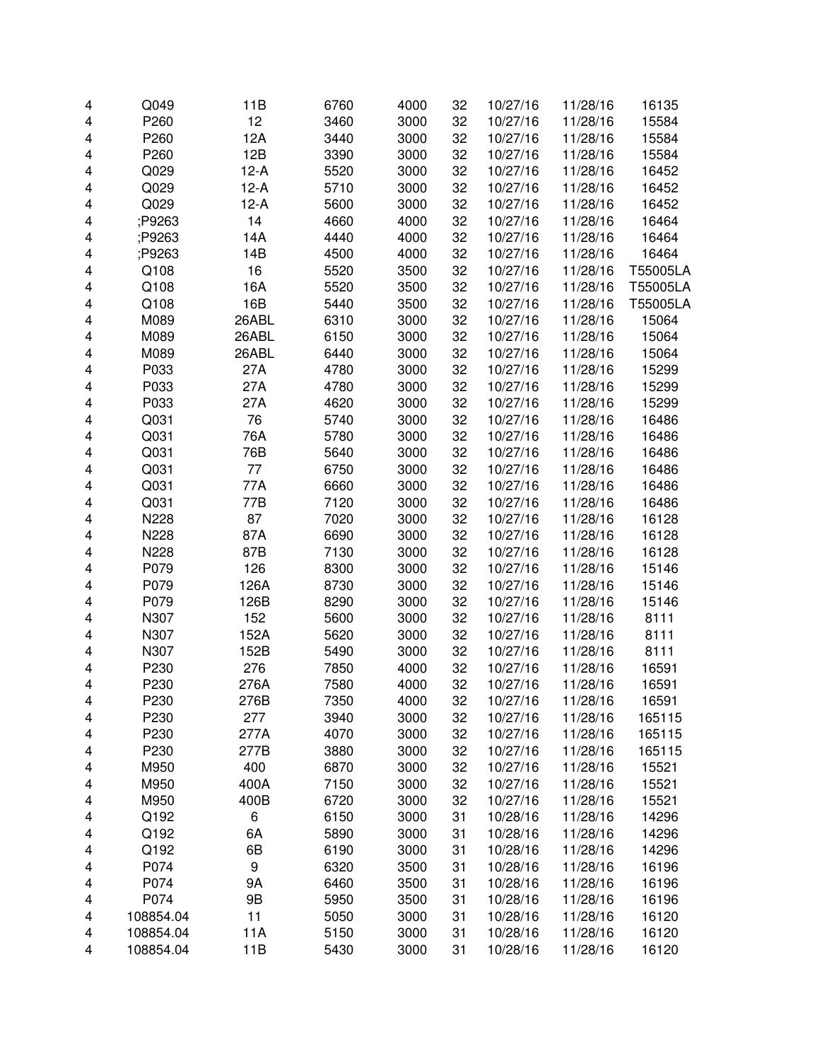| 4 | Q049      | 11B    | 6760 | 4000 | 32 | 10/27/16 | 11/28/16 | 16135    |
|---|-----------|--------|------|------|----|----------|----------|----------|
| 4 | P260      | 12     | 3460 | 3000 | 32 | 10/27/16 | 11/28/16 | 15584    |
| 4 | P260      | 12A    | 3440 | 3000 | 32 | 10/27/16 | 11/28/16 | 15584    |
| 4 | P260      | 12B    | 3390 | 3000 | 32 | 10/27/16 | 11/28/16 | 15584    |
| 4 | Q029      | $12-A$ | 5520 | 3000 | 32 | 10/27/16 | 11/28/16 | 16452    |
| 4 | Q029      | $12-A$ | 5710 | 3000 | 32 | 10/27/16 | 11/28/16 | 16452    |
| 4 | Q029      | $12-A$ | 5600 | 3000 | 32 | 10/27/16 | 11/28/16 | 16452    |
| 4 | P9263;    | 14     | 4660 | 4000 | 32 | 10/27/16 | 11/28/16 | 16464    |
| 4 | P9263;    | 14A    | 4440 | 4000 | 32 | 10/27/16 | 11/28/16 | 16464    |
| 4 | P9263;    | 14B    | 4500 | 4000 | 32 | 10/27/16 | 11/28/16 | 16464    |
| 4 | Q108      | 16     | 5520 | 3500 | 32 | 10/27/16 | 11/28/16 | T55005LA |
| 4 | Q108      | 16A    | 5520 | 3500 | 32 | 10/27/16 | 11/28/16 | T55005LA |
| 4 | Q108      | 16B    | 5440 | 3500 | 32 | 10/27/16 | 11/28/16 | T55005LA |
| 4 | M089      | 26ABL  | 6310 | 3000 | 32 | 10/27/16 | 11/28/16 | 15064    |
| 4 | M089      | 26ABL  | 6150 | 3000 | 32 | 10/27/16 | 11/28/16 | 15064    |
| 4 | M089      | 26ABL  | 6440 | 3000 | 32 | 10/27/16 | 11/28/16 | 15064    |
| 4 | P033      | 27A    | 4780 | 3000 | 32 | 10/27/16 | 11/28/16 | 15299    |
| 4 | P033      | 27A    | 4780 | 3000 | 32 | 10/27/16 | 11/28/16 | 15299    |
| 4 | P033      | 27A    | 4620 | 3000 | 32 | 10/27/16 | 11/28/16 | 15299    |
| 4 | Q031      | 76     | 5740 | 3000 | 32 | 10/27/16 | 11/28/16 | 16486    |
| 4 | Q031      | 76A    | 5780 | 3000 | 32 | 10/27/16 | 11/28/16 | 16486    |
| 4 | Q031      | 76B    | 5640 | 3000 | 32 | 10/27/16 | 11/28/16 | 16486    |
| 4 | Q031      | 77     | 6750 | 3000 | 32 | 10/27/16 | 11/28/16 | 16486    |
| 4 | Q031      | 77A    | 6660 | 3000 | 32 | 10/27/16 | 11/28/16 | 16486    |
| 4 | Q031      | 77B    | 7120 | 3000 | 32 | 10/27/16 | 11/28/16 | 16486    |
| 4 | N228      | 87     | 7020 | 3000 | 32 | 10/27/16 | 11/28/16 | 16128    |
| 4 | N228      | 87A    | 6690 | 3000 | 32 | 10/27/16 | 11/28/16 | 16128    |
| 4 | N228      | 87B    | 7130 | 3000 | 32 | 10/27/16 | 11/28/16 | 16128    |
| 4 | P079      | 126    | 8300 | 3000 | 32 | 10/27/16 | 11/28/16 | 15146    |
| 4 | P079      | 126A   | 8730 | 3000 | 32 | 10/27/16 | 11/28/16 | 15146    |
| 4 | P079      | 126B   | 8290 | 3000 | 32 | 10/27/16 | 11/28/16 | 15146    |
| 4 | N307      | 152    | 5600 | 3000 | 32 | 10/27/16 | 11/28/16 | 8111     |
| 4 | N307      | 152A   | 5620 | 3000 | 32 | 10/27/16 | 11/28/16 | 8111     |
| 4 | N307      | 152B   | 5490 | 3000 | 32 | 10/27/16 | 11/28/16 | 8111     |
| 4 | P230      | 276    | 7850 | 4000 | 32 | 10/27/16 | 11/28/16 | 16591    |
| 4 | P230      | 276A   | 7580 | 4000 | 32 | 10/27/16 | 11/28/16 | 16591    |
| 4 | P230      | 276B   | 7350 | 4000 | 32 | 10/27/16 | 11/28/16 | 16591    |
| 4 | P230      | 277    | 3940 | 3000 | 32 | 10/27/16 | 11/28/16 | 165115   |
| 4 | P230      | 277A   | 4070 | 3000 | 32 | 10/27/16 | 11/28/16 | 165115   |
| 4 | P230      | 277B   | 3880 | 3000 | 32 | 10/27/16 | 11/28/16 | 165115   |
| 4 | M950      | 400    | 6870 | 3000 | 32 | 10/27/16 | 11/28/16 | 15521    |
| 4 | M950      | 400A   | 7150 | 3000 | 32 | 10/27/16 | 11/28/16 | 15521    |
| 4 | M950      | 400B   | 6720 | 3000 | 32 | 10/27/16 | 11/28/16 | 15521    |
| 4 | Q192      | 6      | 6150 | 3000 | 31 | 10/28/16 | 11/28/16 | 14296    |
| 4 | Q192      | 6A     | 5890 | 3000 | 31 | 10/28/16 | 11/28/16 | 14296    |
| 4 | Q192      | 6B     | 6190 | 3000 | 31 | 10/28/16 | 11/28/16 | 14296    |
| 4 | P074      | 9      | 6320 | 3500 | 31 | 10/28/16 | 11/28/16 | 16196    |
| 4 | P074      | 9Α     | 6460 | 3500 | 31 | 10/28/16 | 11/28/16 | 16196    |
| 4 | P074      | 9B     | 5950 | 3500 | 31 | 10/28/16 | 11/28/16 | 16196    |
| 4 | 108854.04 | 11     | 5050 | 3000 | 31 | 10/28/16 | 11/28/16 | 16120    |
| 4 | 108854.04 | 11A    | 5150 | 3000 | 31 | 10/28/16 | 11/28/16 | 16120    |
| 4 | 108854.04 | 11B    | 5430 | 3000 | 31 | 10/28/16 | 11/28/16 | 16120    |
|   |           |        |      |      |    |          |          |          |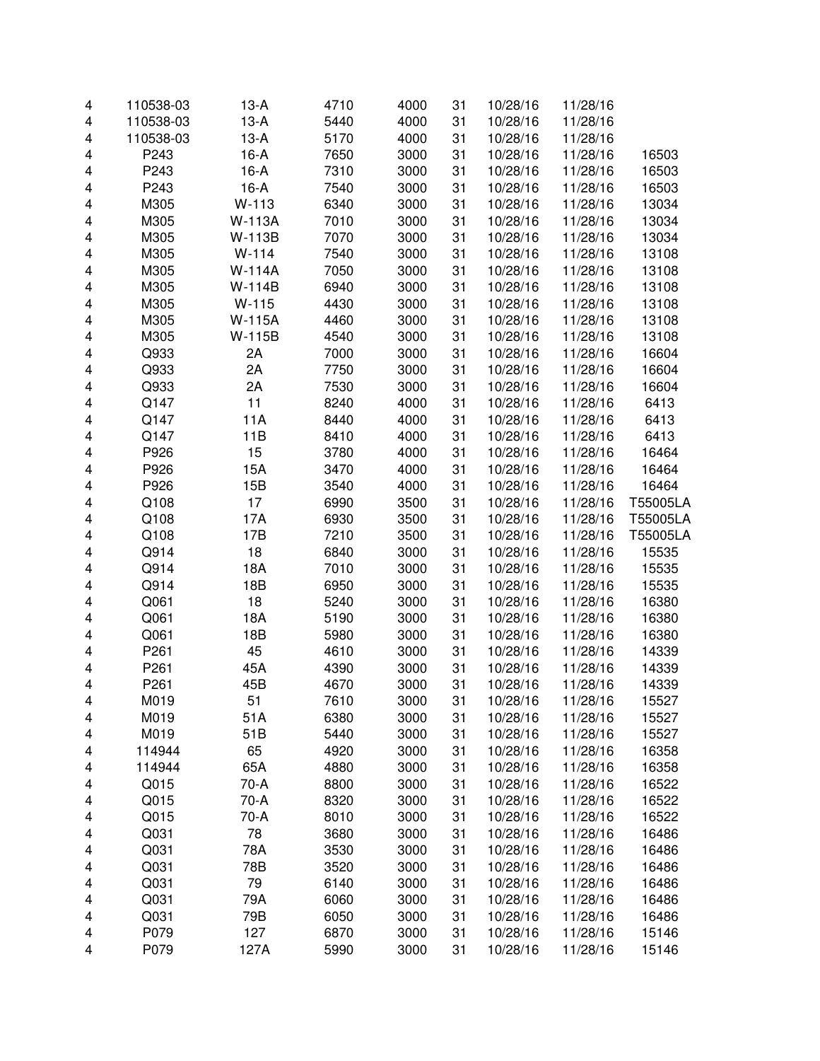| 4 | 110538-03 | $13-A$        | 4710 | 4000 | 31 | 10/28/16 | 11/28/16 |          |
|---|-----------|---------------|------|------|----|----------|----------|----------|
| 4 | 110538-03 | $13-A$        | 5440 | 4000 | 31 | 10/28/16 | 11/28/16 |          |
| 4 | 110538-03 | $13-A$        | 5170 | 4000 | 31 | 10/28/16 | 11/28/16 |          |
| 4 | P243      | $16-A$        | 7650 | 3000 | 31 | 10/28/16 | 11/28/16 | 16503    |
| 4 | P243      | $16-A$        | 7310 | 3000 | 31 | 10/28/16 | 11/28/16 | 16503    |
| 4 | P243      | $16-A$        | 7540 | 3000 | 31 | 10/28/16 | 11/28/16 | 16503    |
| 4 | M305      | W-113         | 6340 | 3000 | 31 | 10/28/16 | 11/28/16 | 13034    |
| 4 | M305      | <b>W-113A</b> | 7010 | 3000 | 31 | 10/28/16 | 11/28/16 | 13034    |
| 4 | M305      | W-113B        | 7070 | 3000 | 31 | 10/28/16 | 11/28/16 | 13034    |
| 4 | M305      | $W-114$       | 7540 | 3000 | 31 | 10/28/16 | 11/28/16 | 13108    |
| 4 | M305      | <b>W-114A</b> | 7050 | 3000 | 31 | 10/28/16 | 11/28/16 | 13108    |
| 4 | M305      | W-114B        | 6940 | 3000 | 31 | 10/28/16 | 11/28/16 | 13108    |
| 4 | M305      | W-115         | 4430 | 3000 | 31 | 10/28/16 | 11/28/16 | 13108    |
| 4 | M305      | <b>W-115A</b> | 4460 | 3000 | 31 | 10/28/16 | 11/28/16 | 13108    |
| 4 | M305      | W-115B        | 4540 | 3000 | 31 | 10/28/16 | 11/28/16 | 13108    |
| 4 | Q933      | 2A            | 7000 | 3000 | 31 | 10/28/16 | 11/28/16 | 16604    |
| 4 | Q933      | 2A            | 7750 | 3000 | 31 | 10/28/16 | 11/28/16 | 16604    |
| 4 | Q933      | 2A            | 7530 | 3000 | 31 | 10/28/16 | 11/28/16 | 16604    |
| 4 | Q147      | 11            | 8240 | 4000 | 31 | 10/28/16 | 11/28/16 | 6413     |
| 4 | Q147      | 11A           | 8440 | 4000 | 31 | 10/28/16 | 11/28/16 | 6413     |
| 4 | Q147      | 11B           | 8410 | 4000 | 31 | 10/28/16 | 11/28/16 | 6413     |
| 4 | P926      | 15            | 3780 | 4000 | 31 | 10/28/16 | 11/28/16 | 16464    |
| 4 | P926      | 15A           | 3470 | 4000 | 31 | 10/28/16 | 11/28/16 | 16464    |
| 4 | P926      | 15B           | 3540 | 4000 | 31 | 10/28/16 | 11/28/16 | 16464    |
| 4 | Q108      | 17            | 6990 | 3500 | 31 | 10/28/16 | 11/28/16 | T55005LA |
| 4 | Q108      | 17A           | 6930 | 3500 | 31 | 10/28/16 | 11/28/16 | T55005LA |
| 4 | Q108      | 17B           | 7210 | 3500 | 31 | 10/28/16 | 11/28/16 | T55005LA |
| 4 | Q914      | 18            | 6840 | 3000 | 31 | 10/28/16 | 11/28/16 | 15535    |
| 4 | Q914      | 18A           | 7010 | 3000 | 31 | 10/28/16 | 11/28/16 | 15535    |
| 4 | Q914      | 18B           | 6950 | 3000 | 31 | 10/28/16 | 11/28/16 | 15535    |
| 4 | Q061      | 18            | 5240 | 3000 | 31 | 10/28/16 | 11/28/16 | 16380    |
| 4 | Q061      | 18A           | 5190 | 3000 | 31 | 10/28/16 | 11/28/16 | 16380    |
| 4 | Q061      | 18B           | 5980 | 3000 | 31 | 10/28/16 | 11/28/16 | 16380    |
| 4 | P261      | 45            | 4610 | 3000 | 31 | 10/28/16 | 11/28/16 | 14339    |
| 4 | P261      | 45A           | 4390 | 3000 | 31 | 10/28/16 | 11/28/16 | 14339    |
| 4 | P261      | 45B           | 4670 | 3000 | 31 | 10/28/16 | 11/28/16 | 14339    |
| 4 | M019      | 51            | 7610 | 3000 | 31 | 10/28/16 | 11/28/16 | 15527    |
| 4 | M019      | 51A           | 6380 | 3000 | 31 | 10/28/16 | 11/28/16 | 15527    |
| 4 | M019      | 51B           | 5440 | 3000 | 31 | 10/28/16 | 11/28/16 | 15527    |
| 4 | 114944    | 65            | 4920 | 3000 | 31 | 10/28/16 | 11/28/16 | 16358    |
| 4 | 114944    | 65A           | 4880 | 3000 | 31 | 10/28/16 | 11/28/16 | 16358    |
| 4 | Q015      | 70-A          | 8800 | 3000 | 31 | 10/28/16 | 11/28/16 | 16522    |
| 4 | Q015      | 70-A          | 8320 | 3000 | 31 | 10/28/16 | 11/28/16 | 16522    |
| 4 | Q015      | 70-A          | 8010 | 3000 | 31 | 10/28/16 | 11/28/16 | 16522    |
| 4 | Q031      | 78            | 3680 | 3000 | 31 | 10/28/16 | 11/28/16 | 16486    |
| 4 | Q031      | 78A           | 3530 | 3000 | 31 | 10/28/16 | 11/28/16 | 16486    |
| 4 | Q031      | 78B           | 3520 | 3000 | 31 | 10/28/16 | 11/28/16 | 16486    |
| 4 | Q031      | 79            | 6140 | 3000 | 31 | 10/28/16 | 11/28/16 | 16486    |
| 4 | Q031      | 79A           | 6060 | 3000 | 31 | 10/28/16 | 11/28/16 | 16486    |
| 4 | Q031      | 79B           | 6050 | 3000 | 31 | 10/28/16 | 11/28/16 | 16486    |
| 4 | P079      | 127           | 6870 | 3000 | 31 | 10/28/16 | 11/28/16 | 15146    |
| 4 | P079      | 127A          | 5990 | 3000 | 31 | 10/28/16 | 11/28/16 | 15146    |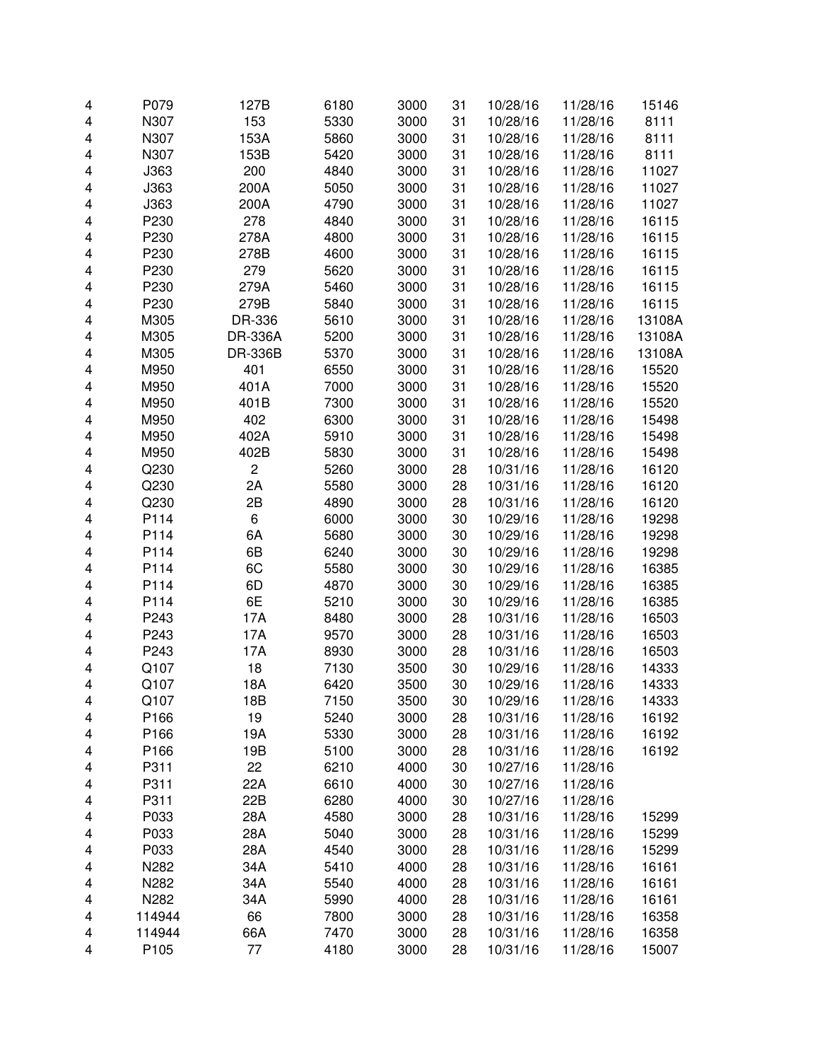| 4 | P079   | 127B                    | 6180 | 3000 | 31 | 10/28/16 | 11/28/16             | 15146  |
|---|--------|-------------------------|------|------|----|----------|----------------------|--------|
| 4 | N307   | 153                     | 5330 | 3000 | 31 | 10/28/16 | 11/28/16             | 8111   |
| 4 | N307   | 153A                    | 5860 | 3000 | 31 | 10/28/16 | 11/28/16             | 8111   |
| 4 | N307   | 153B                    | 5420 | 3000 | 31 | 10/28/16 | 11/28/16             | 8111   |
| 4 | J363   | 200                     | 4840 | 3000 | 31 | 10/28/16 | 11/28/16             | 11027  |
| 4 | J363   | 200A                    | 5050 | 3000 | 31 | 10/28/16 | 11/28/16             | 11027  |
| 4 | J363   | 200A                    | 4790 | 3000 | 31 | 10/28/16 | 11/28/16             | 11027  |
| 4 | P230   | 278                     | 4840 | 3000 | 31 | 10/28/16 | 11/28/16             | 16115  |
| 4 | P230   | 278A                    | 4800 | 3000 | 31 | 10/28/16 | 11/28/16             | 16115  |
| 4 | P230   | 278B                    | 4600 | 3000 | 31 | 10/28/16 | 11/28/16             | 16115  |
| 4 | P230   | 279                     | 5620 | 3000 | 31 | 10/28/16 | 11/28/16             | 16115  |
| 4 | P230   | 279A                    | 5460 | 3000 | 31 | 10/28/16 | 11/28/16             | 16115  |
| 4 | P230   | 279B                    | 5840 | 3000 | 31 | 10/28/16 | 11/28/16             | 16115  |
| 4 | M305   | DR-336                  | 5610 | 3000 | 31 | 10/28/16 | 11/28/16             | 13108A |
| 4 | M305   | DR-336A                 | 5200 | 3000 | 31 | 10/28/16 | 11/28/16             | 13108A |
| 4 | M305   | <b>DR-336B</b>          | 5370 | 3000 | 31 | 10/28/16 | 11/28/16             | 13108A |
| 4 | M950   | 401                     | 6550 | 3000 | 31 | 10/28/16 | 11/28/16             | 15520  |
| 4 | M950   | 401A                    | 7000 | 3000 | 31 | 10/28/16 | 11/28/16             | 15520  |
| 4 | M950   | 401B                    | 7300 | 3000 | 31 | 10/28/16 | 11/28/16             | 15520  |
| 4 | M950   | 402                     | 6300 | 3000 | 31 | 10/28/16 | 11/28/16             | 15498  |
| 4 | M950   | 402A                    | 5910 | 3000 | 31 | 10/28/16 | 11/28/16             | 15498  |
| 4 | M950   | 402B                    | 5830 | 3000 | 31 | 10/28/16 | 11/28/16             | 15498  |
| 4 | Q230   | $\overline{\mathbf{c}}$ | 5260 | 3000 | 28 | 10/31/16 | 11/28/16             | 16120  |
| 4 | Q230   | 2A                      | 5580 | 3000 | 28 | 10/31/16 | 11/28/16             | 16120  |
| 4 | Q230   | 2B                      | 4890 | 3000 | 28 | 10/31/16 | 11/28/16             | 16120  |
| 4 | P114   | 6                       | 6000 | 3000 | 30 | 10/29/16 | 11/28/16             | 19298  |
| 4 | P114   | 6A                      | 5680 | 3000 | 30 | 10/29/16 | 11/28/16             | 19298  |
| 4 | P114   | 6B                      | 6240 | 3000 | 30 | 10/29/16 | 11/28/16             | 19298  |
| 4 | P114   | 6C                      | 5580 | 3000 | 30 | 10/29/16 | 11/28/16             | 16385  |
| 4 | P114   | 6D                      | 4870 | 3000 | 30 | 10/29/16 | 11/28/16             | 16385  |
| 4 | P114   | 6E                      | 5210 | 3000 | 30 | 10/29/16 | 11/28/16             | 16385  |
| 4 | P243   | 17A                     | 8480 | 3000 | 28 | 10/31/16 | 11/28/16             | 16503  |
| 4 | P243   | 17A                     | 9570 | 3000 | 28 | 10/31/16 | 11/28/16             | 16503  |
| 4 | P243   | 17A                     | 8930 | 3000 | 28 | 10/31/16 | 11/28/16             | 16503  |
| 4 | Q107   | 18                      | 7130 | 3500 | 30 | 10/29/16 | 11/28/16             | 14333  |
| 4 | Q107   | 18A                     | 6420 |      | 30 | 10/29/16 | 11/28/16             | 14333  |
|   |        |                         |      | 3500 |    |          |                      |        |
| 4 | Q107   | 18B                     | 7150 | 3500 | 30 | 10/29/16 | 11/28/16             | 14333  |
| 4 | P166   | 19                      | 5240 | 3000 | 28 | 10/31/16 | 11/28/16<br>11/28/16 | 16192  |
| 4 | P166   | 19A                     | 5330 | 3000 | 28 | 10/31/16 |                      | 16192  |
| 4 | P166   | 19B                     | 5100 | 3000 | 28 | 10/31/16 | 11/28/16             | 16192  |
| 4 | P311   | 22                      | 6210 | 4000 | 30 | 10/27/16 | 11/28/16             |        |
| 4 | P311   | 22A                     | 6610 | 4000 | 30 | 10/27/16 | 11/28/16             |        |
| 4 | P311   | 22B                     | 6280 | 4000 | 30 | 10/27/16 | 11/28/16             |        |
| 4 | P033   | 28A                     | 4580 | 3000 | 28 | 10/31/16 | 11/28/16             | 15299  |
| 4 | P033   | 28A                     | 5040 | 3000 | 28 | 10/31/16 | 11/28/16             | 15299  |
| 4 | P033   | 28A                     | 4540 | 3000 | 28 | 10/31/16 | 11/28/16             | 15299  |
| 4 | N282   | 34A                     | 5410 | 4000 | 28 | 10/31/16 | 11/28/16             | 16161  |
| 4 | N282   | 34A                     | 5540 | 4000 | 28 | 10/31/16 | 11/28/16             | 16161  |
| 4 | N282   | 34A                     | 5990 | 4000 | 28 | 10/31/16 | 11/28/16             | 16161  |
| 4 | 114944 | 66                      | 7800 | 3000 | 28 | 10/31/16 | 11/28/16             | 16358  |
| 4 | 114944 | 66A                     | 7470 | 3000 | 28 | 10/31/16 | 11/28/16             | 16358  |
| 4 | P105   | 77                      | 4180 | 3000 | 28 | 10/31/16 | 11/28/16             | 15007  |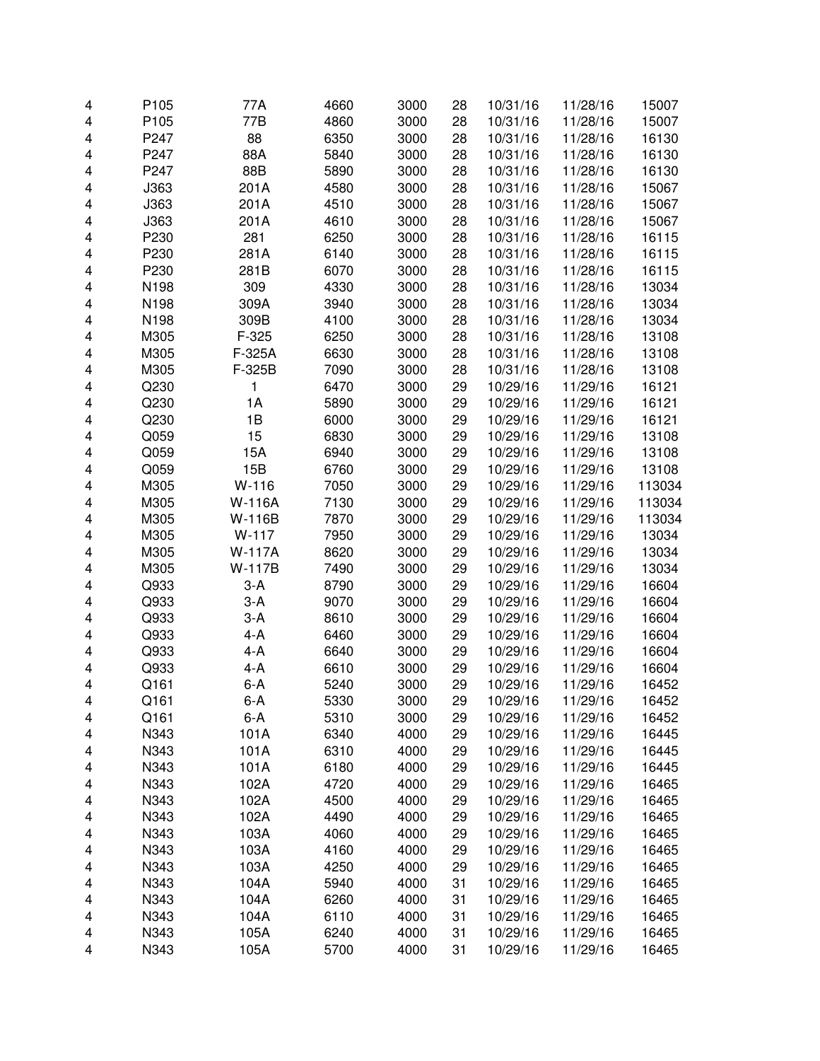| 4 | P105 | 77A           | 4660 | 3000 | 28 | 10/31/16 | 11/28/16 | 15007  |
|---|------|---------------|------|------|----|----------|----------|--------|
| 4 | P105 | 77B           | 4860 | 3000 | 28 | 10/31/16 | 11/28/16 | 15007  |
| 4 | P247 | 88            | 6350 | 3000 | 28 | 10/31/16 | 11/28/16 | 16130  |
| 4 | P247 | 88A           | 5840 | 3000 | 28 | 10/31/16 | 11/28/16 | 16130  |
| 4 | P247 | 88B           | 5890 | 3000 | 28 | 10/31/16 | 11/28/16 | 16130  |
| 4 | J363 | 201A          | 4580 | 3000 | 28 | 10/31/16 | 11/28/16 | 15067  |
| 4 | J363 | 201A          | 4510 | 3000 | 28 | 10/31/16 | 11/28/16 | 15067  |
| 4 | J363 | 201A          | 4610 | 3000 | 28 | 10/31/16 | 11/28/16 | 15067  |
| 4 | P230 | 281           | 6250 | 3000 | 28 | 10/31/16 | 11/28/16 | 16115  |
| 4 | P230 | 281A          | 6140 | 3000 | 28 | 10/31/16 | 11/28/16 | 16115  |
| 4 | P230 | 281B          | 6070 | 3000 | 28 | 10/31/16 | 11/28/16 | 16115  |
| 4 | N198 | 309           | 4330 | 3000 | 28 | 10/31/16 | 11/28/16 | 13034  |
| 4 | N198 | 309A          | 3940 | 3000 | 28 | 10/31/16 | 11/28/16 | 13034  |
| 4 | N198 | 309B          | 4100 | 3000 | 28 | 10/31/16 | 11/28/16 | 13034  |
| 4 | M305 | $F-325$       | 6250 | 3000 | 28 | 10/31/16 | 11/28/16 | 13108  |
| 4 | M305 | F-325A        | 6630 | 3000 | 28 | 10/31/16 | 11/28/16 | 13108  |
| 4 | M305 | F-325B        | 7090 | 3000 | 28 | 10/31/16 | 11/28/16 | 13108  |
| 4 | Q230 | 1             | 6470 | 3000 | 29 | 10/29/16 | 11/29/16 | 16121  |
| 4 | Q230 | 1A            | 5890 | 3000 | 29 | 10/29/16 | 11/29/16 | 16121  |
| 4 | Q230 | 1B            | 6000 | 3000 | 29 | 10/29/16 | 11/29/16 | 16121  |
| 4 | Q059 | 15            | 6830 | 3000 | 29 | 10/29/16 | 11/29/16 | 13108  |
| 4 | Q059 | 15A           | 6940 | 3000 | 29 | 10/29/16 | 11/29/16 | 13108  |
| 4 | Q059 | 15B           | 6760 | 3000 | 29 | 10/29/16 | 11/29/16 | 13108  |
| 4 | M305 | $W-116$       | 7050 | 3000 | 29 | 10/29/16 | 11/29/16 | 113034 |
| 4 | M305 | <b>W-116A</b> | 7130 | 3000 | 29 | 10/29/16 | 11/29/16 | 113034 |
| 4 | M305 | W-116B        | 7870 | 3000 | 29 | 10/29/16 | 11/29/16 | 113034 |
| 4 | M305 | $W-117$       | 7950 | 3000 | 29 | 10/29/16 | 11/29/16 | 13034  |
| 4 | M305 | <b>W-117A</b> | 8620 | 3000 | 29 | 10/29/16 | 11/29/16 | 13034  |
| 4 | M305 | W-117B        | 7490 | 3000 | 29 | 10/29/16 | 11/29/16 | 13034  |
| 4 | Q933 | $3-A$         | 8790 | 3000 | 29 | 10/29/16 | 11/29/16 | 16604  |
| 4 | Q933 | $3-A$         | 9070 | 3000 | 29 | 10/29/16 | 11/29/16 | 16604  |
| 4 | Q933 | $3-A$         | 8610 | 3000 | 29 | 10/29/16 | 11/29/16 | 16604  |
| 4 | Q933 | $4-A$         | 6460 | 3000 | 29 | 10/29/16 | 11/29/16 | 16604  |
| 4 | Q933 | $4-A$         | 6640 | 3000 | 29 | 10/29/16 | 11/29/16 | 16604  |
| 4 | Q933 | $4-A$         | 6610 | 3000 | 29 | 10/29/16 | 11/29/16 | 16604  |
| 4 | Q161 | $6-A$         | 5240 | 3000 | 29 | 10/29/16 | 11/29/16 | 16452  |
| 4 | Q161 | 6-A           | 5330 | 3000 | 29 | 10/29/16 | 11/29/16 | 16452  |
| 4 | Q161 | $6-A$         | 5310 | 3000 | 29 | 10/29/16 | 11/29/16 | 16452  |
| 4 | N343 | 101A          | 6340 | 4000 | 29 | 10/29/16 | 11/29/16 | 16445  |
| 4 | N343 | 101A          | 6310 | 4000 | 29 | 10/29/16 | 11/29/16 | 16445  |
| 4 | N343 | 101A          | 6180 | 4000 | 29 | 10/29/16 | 11/29/16 | 16445  |
| 4 | N343 | 102A          | 4720 | 4000 | 29 | 10/29/16 | 11/29/16 | 16465  |
| 4 | N343 | 102A          | 4500 | 4000 | 29 | 10/29/16 | 11/29/16 | 16465  |
| 4 | N343 | 102A          | 4490 | 4000 | 29 | 10/29/16 | 11/29/16 | 16465  |
| 4 | N343 | 103A          | 4060 | 4000 | 29 | 10/29/16 | 11/29/16 | 16465  |
| 4 | N343 | 103A          | 4160 | 4000 | 29 | 10/29/16 | 11/29/16 | 16465  |
| 4 | N343 | 103A          | 4250 | 4000 | 29 | 10/29/16 | 11/29/16 | 16465  |
| 4 | N343 | 104A          | 5940 | 4000 | 31 | 10/29/16 | 11/29/16 | 16465  |
| 4 | N343 | 104A          | 6260 | 4000 | 31 | 10/29/16 | 11/29/16 | 16465  |
| 4 | N343 | 104A          | 6110 | 4000 | 31 | 10/29/16 | 11/29/16 | 16465  |
| 4 | N343 | 105A          | 6240 | 4000 | 31 | 10/29/16 | 11/29/16 | 16465  |
| 4 | N343 | 105A          | 5700 | 4000 | 31 | 10/29/16 | 11/29/16 | 16465  |
|   |      |               |      |      |    |          |          |        |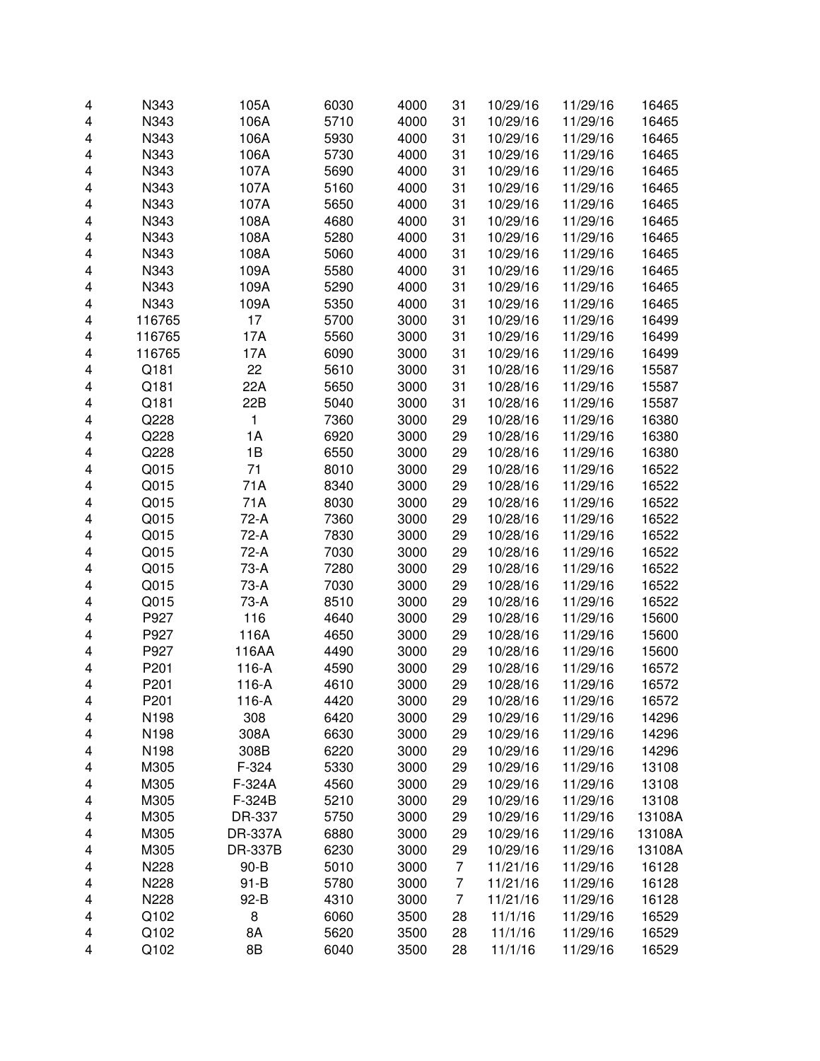| 4 | N343             | 105A           | 6030 | 4000 | 31             | 10/29/16 | 11/29/16 | 16465  |
|---|------------------|----------------|------|------|----------------|----------|----------|--------|
| 4 | N343             | 106A           | 5710 | 4000 | 31             | 10/29/16 | 11/29/16 | 16465  |
| 4 | N343             | 106A           | 5930 | 4000 | 31             | 10/29/16 | 11/29/16 | 16465  |
| 4 | N343             | 106A           | 5730 | 4000 | 31             | 10/29/16 | 11/29/16 | 16465  |
| 4 | N343             | 107A           | 5690 | 4000 | 31             | 10/29/16 | 11/29/16 | 16465  |
| 4 | N343             | 107A           | 5160 | 4000 | 31             | 10/29/16 | 11/29/16 | 16465  |
| 4 | N343             | 107A           | 5650 | 4000 | 31             | 10/29/16 | 11/29/16 | 16465  |
| 4 | N343             | 108A           | 4680 | 4000 | 31             | 10/29/16 | 11/29/16 | 16465  |
| 4 | N343             | 108A           | 5280 | 4000 | 31             | 10/29/16 | 11/29/16 | 16465  |
| 4 | N343             | 108A           | 5060 | 4000 | 31             | 10/29/16 | 11/29/16 | 16465  |
| 4 | N343             | 109A           | 5580 | 4000 | 31             | 10/29/16 | 11/29/16 | 16465  |
| 4 | N343             | 109A           | 5290 | 4000 | 31             | 10/29/16 | 11/29/16 | 16465  |
| 4 | N343             | 109A           | 5350 | 4000 | 31             | 10/29/16 | 11/29/16 | 16465  |
| 4 | 116765           | 17             | 5700 | 3000 | 31             | 10/29/16 | 11/29/16 | 16499  |
| 4 | 116765           | 17A            | 5560 | 3000 | 31             | 10/29/16 | 11/29/16 | 16499  |
| 4 | 116765           | 17A            | 6090 | 3000 | 31             | 10/29/16 | 11/29/16 | 16499  |
| 4 | Q181             | 22             | 5610 | 3000 | 31             | 10/28/16 | 11/29/16 | 15587  |
| 4 | Q181             | 22A            | 5650 | 3000 | 31             | 10/28/16 | 11/29/16 | 15587  |
| 4 | Q181             | 22B            | 5040 | 3000 | 31             | 10/28/16 | 11/29/16 | 15587  |
| 4 | Q228             | 1              | 7360 | 3000 | 29             | 10/28/16 | 11/29/16 | 16380  |
| 4 | Q228             | 1A             | 6920 | 3000 | 29             | 10/28/16 | 11/29/16 | 16380  |
| 4 | Q228             | 1B             | 6550 | 3000 | 29             | 10/28/16 | 11/29/16 | 16380  |
| 4 | Q015             | 71             | 8010 | 3000 | 29             | 10/28/16 | 11/29/16 | 16522  |
| 4 | Q015             | 71A            | 8340 | 3000 | 29             | 10/28/16 | 11/29/16 | 16522  |
| 4 | Q015             | 71A            | 8030 | 3000 | 29             | 10/28/16 | 11/29/16 | 16522  |
| 4 | Q015             | 72-A           | 7360 | 3000 | 29             | 10/28/16 | 11/29/16 | 16522  |
| 4 | Q015             | 72-A           | 7830 | 3000 | 29             | 10/28/16 | 11/29/16 | 16522  |
| 4 | Q015             | 72-A           | 7030 | 3000 | 29             | 10/28/16 | 11/29/16 | 16522  |
| 4 | Q015             | 73-A           | 7280 | 3000 | 29             | 10/28/16 | 11/29/16 | 16522  |
| 4 | Q015             | 73-A           | 7030 | 3000 | 29             | 10/28/16 | 11/29/16 | 16522  |
| 4 | Q015             | 73-A           | 8510 | 3000 | 29             | 10/28/16 | 11/29/16 | 16522  |
| 4 | P927             | 116            | 4640 | 3000 | 29             | 10/28/16 | 11/29/16 | 15600  |
| 4 | P927             | 116A           | 4650 | 3000 | 29             | 10/28/16 | 11/29/16 | 15600  |
| 4 | P927             | 116AA          | 4490 | 3000 | 29             | 10/28/16 | 11/29/16 | 15600  |
| 4 | P201             | 116-A          | 4590 | 3000 | 29             | 10/28/16 | 11/29/16 | 16572  |
| 4 | P201             | 116-A          | 4610 | 3000 | 29             | 10/28/16 | 11/29/16 | 16572  |
| 4 | P <sub>201</sub> | 116-A          | 4420 | 3000 | 29             | 10/28/16 | 11/29/16 | 16572  |
| 4 | N198             | 308            | 6420 | 3000 | 29             | 10/29/16 | 11/29/16 | 14296  |
| 4 | N198             | 308A           | 6630 | 3000 | 29             | 10/29/16 | 11/29/16 | 14296  |
| 4 | N198             | 308B           | 6220 | 3000 | 29             | 10/29/16 | 11/29/16 | 14296  |
| 4 | M305             | F-324          | 5330 | 3000 | 29             | 10/29/16 | 11/29/16 | 13108  |
| 4 | M305             | F-324A         | 4560 | 3000 | 29             | 10/29/16 | 11/29/16 | 13108  |
| 4 | M305             | F-324B         | 5210 | 3000 | 29             | 10/29/16 | 11/29/16 | 13108  |
| 4 | M305             | DR-337         | 5750 | 3000 | 29             | 10/29/16 | 11/29/16 | 13108A |
| 4 | M305             | <b>DR-337A</b> | 6880 | 3000 | 29             | 10/29/16 | 11/29/16 | 13108A |
| 4 | M305             | <b>DR-337B</b> | 6230 | 3000 | 29             | 10/29/16 | 11/29/16 | 13108A |
| 4 | N228             | $90 - B$       | 5010 | 3000 | $\overline{7}$ | 11/21/16 | 11/29/16 | 16128  |
| 4 | N228             | $91 - B$       | 5780 | 3000 | $\overline{7}$ | 11/21/16 | 11/29/16 | 16128  |
| 4 | N228             | 92-B           | 4310 | 3000 | $\overline{7}$ | 11/21/16 | 11/29/16 | 16128  |
| 4 | Q102             | 8              | 6060 | 3500 | 28             | 11/1/16  | 11/29/16 | 16529  |
| 4 | Q102             | 8A             | 5620 | 3500 | 28             | 11/1/16  | 11/29/16 | 16529  |
| 4 | Q102             | 8B             | 6040 | 3500 | 28             | 11/1/16  | 11/29/16 | 16529  |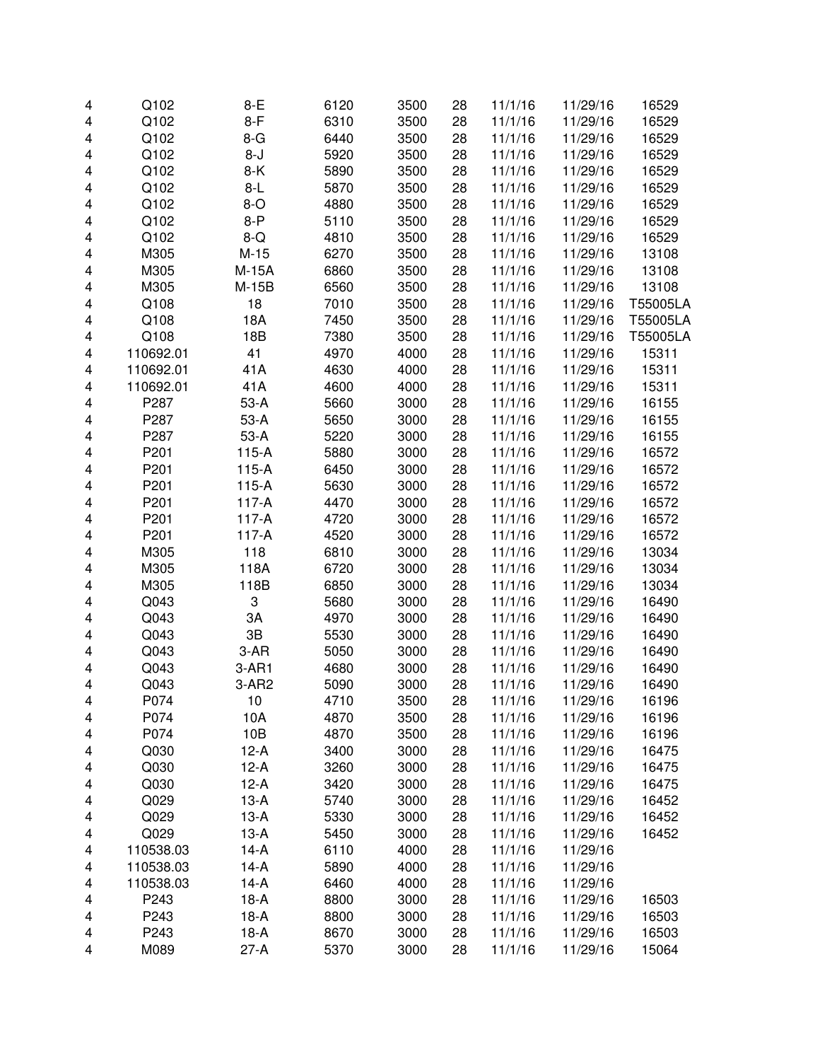| 4 | Q102      | $8-E$   | 6120 | 3500 | 28 | 11/1/16 | 11/29/16 | 16529    |
|---|-----------|---------|------|------|----|---------|----------|----------|
| 4 | Q102      | $8-F$   | 6310 | 3500 | 28 | 11/1/16 | 11/29/16 | 16529    |
| 4 | Q102      | $8-G$   | 6440 | 3500 | 28 | 11/1/16 | 11/29/16 | 16529    |
| 4 | Q102      | $8 - J$ | 5920 | 3500 | 28 | 11/1/16 | 11/29/16 | 16529    |
| 4 | Q102      | $8-K$   | 5890 | 3500 | 28 | 11/1/16 | 11/29/16 | 16529    |
| 4 | Q102      | $8-L$   | 5870 | 3500 | 28 | 11/1/16 | 11/29/16 | 16529    |
| 4 | Q102      | $8-o$   | 4880 | 3500 | 28 | 11/1/16 | 11/29/16 | 16529    |
| 4 | Q102      | $8-P$   | 5110 | 3500 | 28 | 11/1/16 | 11/29/16 | 16529    |
| 4 | Q102      | $8-Q$   | 4810 | 3500 | 28 | 11/1/16 | 11/29/16 | 16529    |
| 4 | M305      | $M-15$  | 6270 | 3500 | 28 | 11/1/16 | 11/29/16 | 13108    |
| 4 | M305      | M-15A   | 6860 | 3500 | 28 | 11/1/16 | 11/29/16 | 13108    |
| 4 | M305      | $M-15B$ | 6560 | 3500 | 28 | 11/1/16 | 11/29/16 | 13108    |
| 4 | Q108      | 18      | 7010 | 3500 | 28 | 11/1/16 | 11/29/16 | T55005LA |
| 4 | Q108      | 18A     | 7450 | 3500 | 28 | 11/1/16 | 11/29/16 | T55005LA |
| 4 | Q108      | 18B     | 7380 | 3500 | 28 | 11/1/16 | 11/29/16 | T55005LA |
| 4 | 110692.01 | 41      | 4970 | 4000 | 28 | 11/1/16 | 11/29/16 | 15311    |
| 4 | 110692.01 | 41A     | 4630 | 4000 | 28 | 11/1/16 | 11/29/16 | 15311    |
| 4 | 110692.01 | 41A     | 4600 | 4000 | 28 | 11/1/16 | 11/29/16 | 15311    |
| 4 | P287      | $53-A$  | 5660 | 3000 | 28 | 11/1/16 | 11/29/16 | 16155    |
| 4 | P287      | $53-A$  | 5650 | 3000 | 28 | 11/1/16 | 11/29/16 | 16155    |
| 4 | P287      | $53-A$  | 5220 | 3000 | 28 | 11/1/16 | 11/29/16 | 16155    |
| 4 | P201      | $115-A$ | 5880 | 3000 | 28 | 11/1/16 | 11/29/16 | 16572    |
| 4 | P201      | $115-A$ | 6450 | 3000 | 28 | 11/1/16 | 11/29/16 | 16572    |
| 4 | P201      | $115-A$ | 5630 | 3000 | 28 | 11/1/16 | 11/29/16 | 16572    |
| 4 | P201      | $117-A$ | 4470 | 3000 | 28 | 11/1/16 | 11/29/16 | 16572    |
| 4 | P201      | $117-A$ | 4720 | 3000 | 28 | 11/1/16 | 11/29/16 | 16572    |
| 4 | P201      | $117-A$ | 4520 | 3000 | 28 | 11/1/16 | 11/29/16 | 16572    |
| 4 | M305      | 118     | 6810 | 3000 | 28 | 11/1/16 | 11/29/16 | 13034    |
| 4 | M305      | 118A    | 6720 | 3000 | 28 | 11/1/16 | 11/29/16 | 13034    |
| 4 | M305      | 118B    | 6850 | 3000 | 28 | 11/1/16 | 11/29/16 | 13034    |
| 4 | Q043      | 3       | 5680 | 3000 | 28 | 11/1/16 | 11/29/16 | 16490    |
| 4 | Q043      | ЗA      | 4970 | 3000 | 28 | 11/1/16 | 11/29/16 | 16490    |
| 4 | Q043      | 3B      | 5530 | 3000 | 28 | 11/1/16 | 11/29/16 | 16490    |
| 4 | Q043      | $3-AR$  | 5050 | 3000 | 28 | 11/1/16 | 11/29/16 | 16490    |
| 4 | Q043      | $3-AR1$ | 4680 | 3000 | 28 | 11/1/16 | 11/29/16 | 16490    |
| 4 | Q043      | $3-AR2$ | 5090 | 3000 | 28 | 11/1/16 | 11/29/16 | 16490    |
| 4 | P074      | 10      | 4710 | 3500 | 28 | 11/1/16 | 11/29/16 | 16196    |
| 4 | P074      | 10A     | 4870 | 3500 | 28 | 11/1/16 | 11/29/16 | 16196    |
| 4 | P074      | 10B     | 4870 | 3500 | 28 | 11/1/16 | 11/29/16 | 16196    |
| 4 | Q030      | $12-A$  | 3400 | 3000 | 28 | 11/1/16 | 11/29/16 | 16475    |
| 4 | Q030      | $12-A$  | 3260 | 3000 | 28 | 11/1/16 | 11/29/16 | 16475    |
| 4 | Q030      | $12-A$  | 3420 | 3000 | 28 | 11/1/16 | 11/29/16 | 16475    |
| 4 | Q029      | $13-A$  | 5740 | 3000 | 28 | 11/1/16 | 11/29/16 | 16452    |
| 4 | Q029      | $13-A$  | 5330 | 3000 | 28 | 11/1/16 | 11/29/16 | 16452    |
| 4 | Q029      | $13-A$  | 5450 | 3000 | 28 | 11/1/16 | 11/29/16 | 16452    |
| 4 | 110538.03 | $14-A$  | 6110 | 4000 | 28 | 11/1/16 | 11/29/16 |          |
| 4 | 110538.03 | $14-A$  | 5890 | 4000 | 28 | 11/1/16 | 11/29/16 |          |
| 4 | 110538.03 | $14-A$  | 6460 | 4000 | 28 | 11/1/16 | 11/29/16 |          |
| 4 | P243      | $18-A$  | 8800 | 3000 | 28 | 11/1/16 | 11/29/16 | 16503    |
| 4 | P243      | $18-A$  | 8800 | 3000 | 28 | 11/1/16 | 11/29/16 | 16503    |
| 4 | P243      | $18-A$  | 8670 | 3000 | 28 | 11/1/16 | 11/29/16 | 16503    |
| 4 | M089      | $27-A$  | 5370 | 3000 | 28 | 11/1/16 | 11/29/16 | 15064    |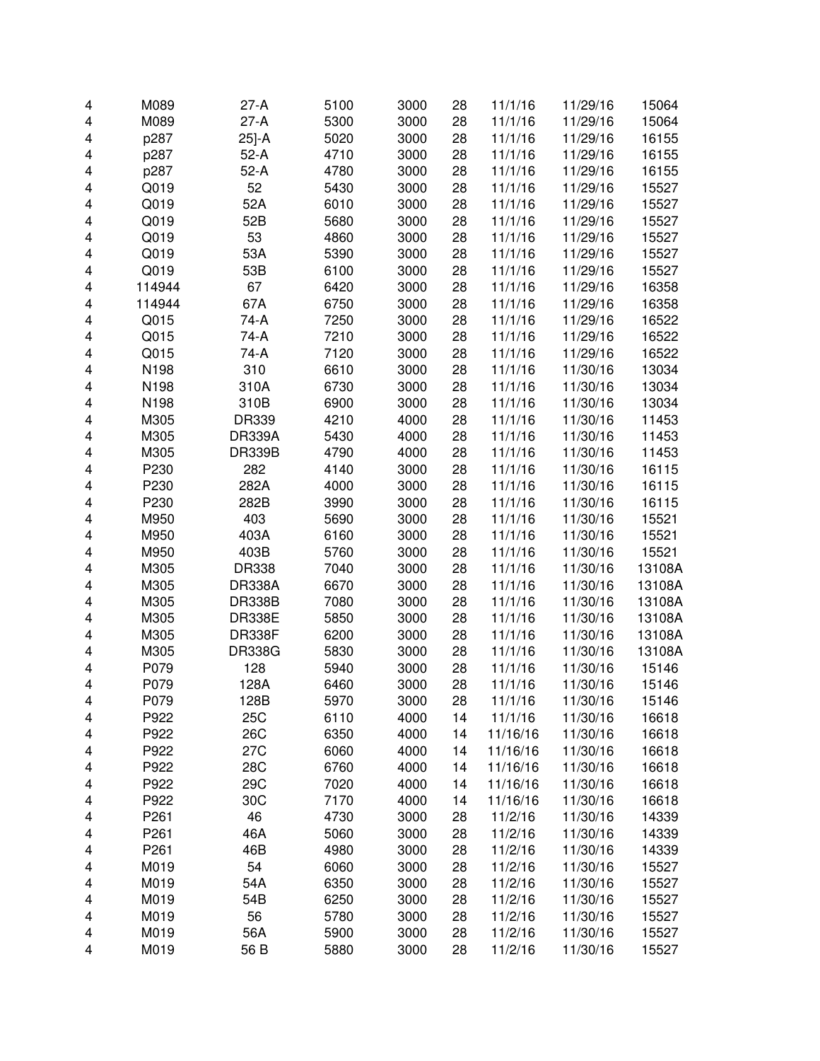|   | M089             | $27-A$        | 5100 | 3000 |    |          |          | 15064  |
|---|------------------|---------------|------|------|----|----------|----------|--------|
| 4 |                  |               |      |      | 28 | 11/1/16  | 11/29/16 |        |
| 4 | M089             | $27-A$        | 5300 | 3000 | 28 | 11/1/16  | 11/29/16 | 15064  |
| 4 | p287             | 25]-A         | 5020 | 3000 | 28 | 11/1/16  | 11/29/16 | 16155  |
| 4 | p287             | $52-A$        | 4710 | 3000 | 28 | 11/1/16  | 11/29/16 | 16155  |
| 4 | p287             | $52-A$        | 4780 | 3000 | 28 | 11/1/16  | 11/29/16 | 16155  |
| 4 | Q019             | 52            | 5430 | 3000 | 28 | 11/1/16  | 11/29/16 | 15527  |
| 4 | Q019             | 52A           | 6010 | 3000 | 28 | 11/1/16  | 11/29/16 | 15527  |
| 4 | Q019             | 52B           | 5680 | 3000 | 28 | 11/1/16  | 11/29/16 | 15527  |
| 4 | Q019             | 53            | 4860 | 3000 | 28 | 11/1/16  | 11/29/16 | 15527  |
| 4 | Q019             | 53A           | 5390 | 3000 | 28 | 11/1/16  | 11/29/16 | 15527  |
| 4 | Q019             | 53B           | 6100 | 3000 | 28 | 11/1/16  | 11/29/16 | 15527  |
| 4 | 114944           | 67            | 6420 | 3000 | 28 | 11/1/16  | 11/29/16 | 16358  |
| 4 | 114944           | 67A           | 6750 | 3000 | 28 | 11/1/16  | 11/29/16 | 16358  |
| 4 | Q015             | 74-A          | 7250 | 3000 | 28 | 11/1/16  | 11/29/16 | 16522  |
| 4 | Q015             | 74-A          | 7210 | 3000 | 28 | 11/1/16  | 11/29/16 | 16522  |
| 4 | Q015             | 74-A          | 7120 | 3000 | 28 | 11/1/16  | 11/29/16 | 16522  |
| 4 | N198             | 310           | 6610 | 3000 | 28 | 11/1/16  | 11/30/16 | 13034  |
| 4 | N198             | 310A          | 6730 | 3000 | 28 | 11/1/16  | 11/30/16 | 13034  |
| 4 | N198             | 310B          | 6900 | 3000 | 28 | 11/1/16  | 11/30/16 | 13034  |
| 4 | M305             | DR339         | 4210 | 4000 | 28 | 11/1/16  | 11/30/16 | 11453  |
| 4 | M305             | <b>DR339A</b> | 5430 | 4000 | 28 | 11/1/16  | 11/30/16 | 11453  |
| 4 | M305             | <b>DR339B</b> | 4790 | 4000 | 28 | 11/1/16  | 11/30/16 | 11453  |
| 4 | P230             | 282           | 4140 | 3000 | 28 | 11/1/16  | 11/30/16 | 16115  |
| 4 | P230             | 282A          | 4000 | 3000 | 28 | 11/1/16  | 11/30/16 | 16115  |
| 4 | P230             | 282B          | 3990 | 3000 | 28 | 11/1/16  | 11/30/16 | 16115  |
| 4 | M950             | 403           | 5690 | 3000 | 28 | 11/1/16  | 11/30/16 | 15521  |
| 4 | M950             | 403A          | 6160 | 3000 | 28 | 11/1/16  | 11/30/16 | 15521  |
| 4 | M950             | 403B          | 5760 | 3000 | 28 | 11/1/16  | 11/30/16 | 15521  |
| 4 | M305             | <b>DR338</b>  | 7040 | 3000 | 28 | 11/1/16  | 11/30/16 | 13108A |
| 4 | M305             | <b>DR338A</b> | 6670 | 3000 | 28 | 11/1/16  | 11/30/16 | 13108A |
| 4 | M305             | <b>DR338B</b> | 7080 | 3000 | 28 | 11/1/16  | 11/30/16 | 13108A |
| 4 | M305             | <b>DR338E</b> | 5850 | 3000 | 28 | 11/1/16  | 11/30/16 | 13108A |
| 4 | M305             | <b>DR338F</b> | 6200 | 3000 | 28 | 11/1/16  | 11/30/16 | 13108A |
| 4 | M305             | <b>DR338G</b> | 5830 | 3000 | 28 | 11/1/16  | 11/30/16 | 13108A |
| 4 | P079             | 128           | 5940 | 3000 | 28 | 11/1/16  | 11/30/16 | 15146  |
| 4 | P079             | 128A          | 6460 | 3000 | 28 | 11/1/16  | 11/30/16 | 15146  |
| 4 | P079             | 128B          | 5970 | 3000 | 28 | 11/1/16  | 11/30/16 | 15146  |
| 4 | P922             | 25C           | 6110 | 4000 | 14 | 11/1/16  | 11/30/16 | 16618  |
| 4 | P922             | 26C           | 6350 | 4000 | 14 | 11/16/16 | 11/30/16 | 16618  |
| 4 | P922             | 27C           | 6060 | 4000 | 14 | 11/16/16 | 11/30/16 | 16618  |
| 4 | P922             | 28C           | 6760 | 4000 | 14 | 11/16/16 | 11/30/16 | 16618  |
| 4 | P922             | 29C           | 7020 | 4000 | 14 | 11/16/16 | 11/30/16 | 16618  |
| 4 | P922             | 30C           | 7170 | 4000 | 14 | 11/16/16 | 11/30/16 | 16618  |
| 4 | P261             | 46            | 4730 | 3000 | 28 | 11/2/16  | 11/30/16 | 14339  |
| 4 | P261             | 46A           | 5060 | 3000 | 28 | 11/2/16  | 11/30/16 | 14339  |
| 4 | P <sub>261</sub> | 46B           | 4980 | 3000 | 28 | 11/2/16  | 11/30/16 | 14339  |
| 4 | M019             | 54            | 6060 | 3000 | 28 | 11/2/16  | 11/30/16 | 15527  |
| 4 | M019             | 54A           | 6350 | 3000 | 28 | 11/2/16  | 11/30/16 | 15527  |
| 4 | M019             | 54B           | 6250 | 3000 | 28 | 11/2/16  | 11/30/16 | 15527  |
| 4 | M019             | 56            | 5780 | 3000 | 28 | 11/2/16  | 11/30/16 | 15527  |
| 4 | M019             | 56A           | 5900 | 3000 | 28 | 11/2/16  | 11/30/16 | 15527  |
| 4 | M019             | 56 B          | 5880 | 3000 | 28 | 11/2/16  | 11/30/16 | 15527  |
|   |                  |               |      |      |    |          |          |        |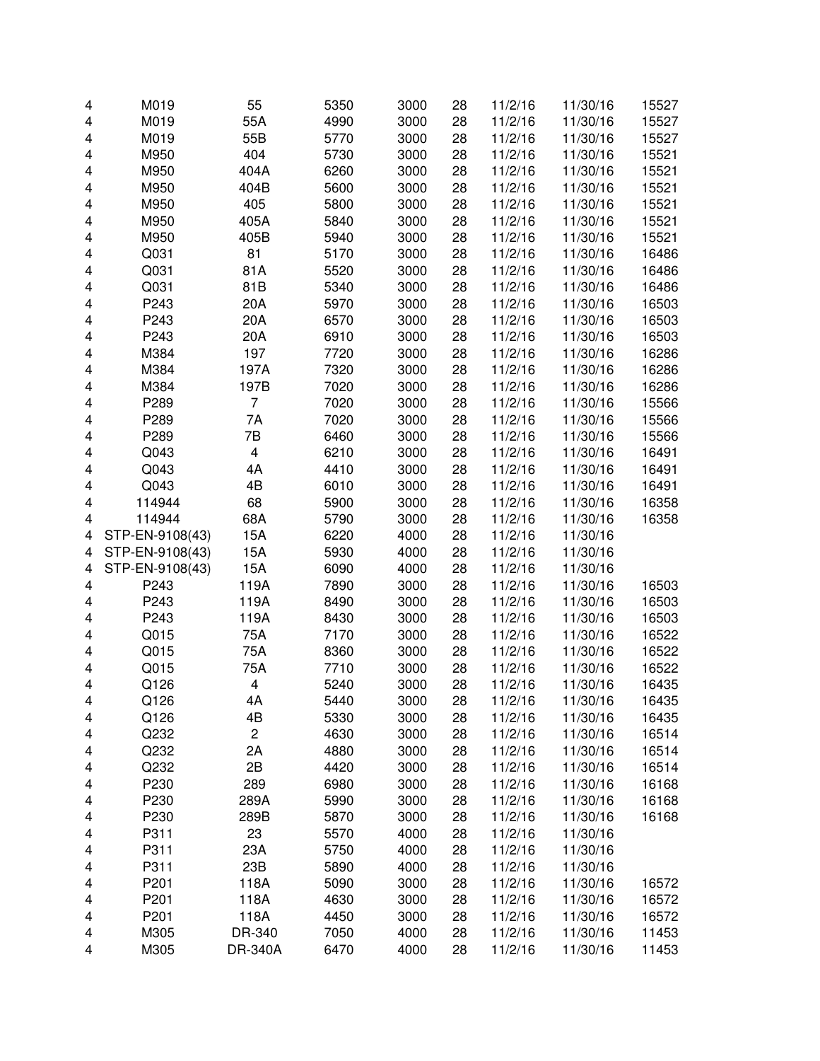| 4 | M019            | 55                      | 5350 | 3000 | 28 | 11/2/16 | 11/30/16 | 15527 |
|---|-----------------|-------------------------|------|------|----|---------|----------|-------|
| 4 | M019            | 55A                     | 4990 | 3000 | 28 | 11/2/16 | 11/30/16 | 15527 |
| 4 | M019            | 55B                     | 5770 | 3000 | 28 | 11/2/16 | 11/30/16 | 15527 |
| 4 | M950            | 404                     | 5730 | 3000 | 28 | 11/2/16 | 11/30/16 | 15521 |
| 4 | M950            | 404A                    | 6260 | 3000 | 28 | 11/2/16 | 11/30/16 | 15521 |
| 4 | M950            | 404B                    | 5600 | 3000 | 28 | 11/2/16 | 11/30/16 | 15521 |
| 4 | M950            | 405                     | 5800 | 3000 | 28 | 11/2/16 | 11/30/16 | 15521 |
| 4 | M950            | 405A                    | 5840 | 3000 | 28 | 11/2/16 | 11/30/16 | 15521 |
| 4 | M950            | 405B                    | 5940 | 3000 | 28 | 11/2/16 | 11/30/16 | 15521 |
| 4 | Q031            | 81                      | 5170 | 3000 | 28 | 11/2/16 | 11/30/16 | 16486 |
| 4 | Q031            | 81A                     | 5520 | 3000 | 28 | 11/2/16 | 11/30/16 | 16486 |
| 4 | Q031            | 81B                     | 5340 | 3000 | 28 | 11/2/16 | 11/30/16 | 16486 |
| 4 | P243            | 20A                     | 5970 | 3000 | 28 | 11/2/16 | 11/30/16 | 16503 |
| 4 | P243            | 20A                     | 6570 | 3000 | 28 | 11/2/16 | 11/30/16 | 16503 |
| 4 | P243            | 20A                     | 6910 | 3000 | 28 | 11/2/16 | 11/30/16 | 16503 |
| 4 | M384            | 197                     | 7720 | 3000 | 28 | 11/2/16 | 11/30/16 | 16286 |
| 4 | M384            | 197A                    | 7320 | 3000 | 28 | 11/2/16 | 11/30/16 | 16286 |
| 4 | M384            | 197B                    | 7020 | 3000 | 28 | 11/2/16 | 11/30/16 | 16286 |
| 4 | P289            | $\overline{7}$          | 7020 | 3000 | 28 | 11/2/16 | 11/30/16 | 15566 |
| 4 | P289            | 7A                      | 7020 | 3000 | 28 | 11/2/16 | 11/30/16 | 15566 |
| 4 | P289            | 7B                      | 6460 | 3000 | 28 | 11/2/16 | 11/30/16 | 15566 |
| 4 | Q043            | $\overline{\mathbf{4}}$ | 6210 | 3000 | 28 | 11/2/16 | 11/30/16 | 16491 |
| 4 | Q043            | 4A                      | 4410 | 3000 | 28 | 11/2/16 | 11/30/16 | 16491 |
| 4 | Q043            | 4B                      | 6010 | 3000 | 28 | 11/2/16 | 11/30/16 | 16491 |
|   | 114944          | 68                      | 5900 | 3000 | 28 | 11/2/16 | 11/30/16 | 16358 |
| 4 |                 |                         |      |      |    |         |          |       |
| 4 | 114944          | 68A                     | 5790 | 3000 | 28 | 11/2/16 | 11/30/16 | 16358 |
| 4 | STP-EN-9108(43) | 15A                     | 6220 | 4000 | 28 | 11/2/16 | 11/30/16 |       |
| 4 | STP-EN-9108(43) | 15A                     | 5930 | 4000 | 28 | 11/2/16 | 11/30/16 |       |
| 4 | STP-EN-9108(43) | 15A                     | 6090 | 4000 | 28 | 11/2/16 | 11/30/16 |       |
| 4 | P243            | 119A                    | 7890 | 3000 | 28 | 11/2/16 | 11/30/16 | 16503 |
| 4 | P243            | 119A                    | 8490 | 3000 | 28 | 11/2/16 | 11/30/16 | 16503 |
| 4 | P243            | 119A                    | 8430 | 3000 | 28 | 11/2/16 | 11/30/16 | 16503 |
| 4 | Q015            | 75A                     | 7170 | 3000 | 28 | 11/2/16 | 11/30/16 | 16522 |
| 4 | Q015            | 75A                     | 8360 | 3000 | 28 | 11/2/16 | 11/30/16 | 16522 |
| 4 | Q015            | 75A                     | 7710 | 3000 | 28 | 11/2/16 | 11/30/16 | 16522 |
| 4 | Q126            | 4                       | 5240 | 3000 | 28 | 11/2/16 | 11/30/16 | 16435 |
| 4 | Q126            | 4Α                      | 5440 | 3000 | 28 | 11/2/16 | 11/30/16 | 16435 |
| 4 | Q126            | 4B                      | 5330 | 3000 | 28 | 11/2/16 | 11/30/16 | 16435 |
| 4 | Q232            | $\overline{c}$          | 4630 | 3000 | 28 | 11/2/16 | 11/30/16 | 16514 |
| 4 | Q232            | 2A                      | 4880 | 3000 | 28 | 11/2/16 | 11/30/16 | 16514 |
| 4 | Q232            | 2B                      | 4420 | 3000 | 28 | 11/2/16 | 11/30/16 | 16514 |
| 4 | P230            | 289                     | 6980 | 3000 | 28 | 11/2/16 | 11/30/16 | 16168 |
| 4 | P230            | 289A                    | 5990 | 3000 | 28 | 11/2/16 | 11/30/16 | 16168 |
| 4 | P230            | 289B                    | 5870 | 3000 | 28 | 11/2/16 | 11/30/16 | 16168 |
| 4 | P311            | 23                      | 5570 | 4000 | 28 | 11/2/16 | 11/30/16 |       |
| 4 | P311            | 23A                     | 5750 | 4000 | 28 | 11/2/16 | 11/30/16 |       |
| 4 | P311            | 23B                     | 5890 | 4000 | 28 | 11/2/16 | 11/30/16 |       |
| 4 | P201            | 118A                    | 5090 | 3000 | 28 | 11/2/16 | 11/30/16 | 16572 |
| 4 | P201            | 118A                    | 4630 | 3000 | 28 | 11/2/16 | 11/30/16 | 16572 |
| 4 | P201            | 118A                    | 4450 | 3000 | 28 | 11/2/16 | 11/30/16 | 16572 |
| 4 | M305            | DR-340                  | 7050 | 4000 | 28 | 11/2/16 | 11/30/16 | 11453 |
| 4 | M305            | DR-340A                 | 6470 | 4000 | 28 | 11/2/16 | 11/30/16 | 11453 |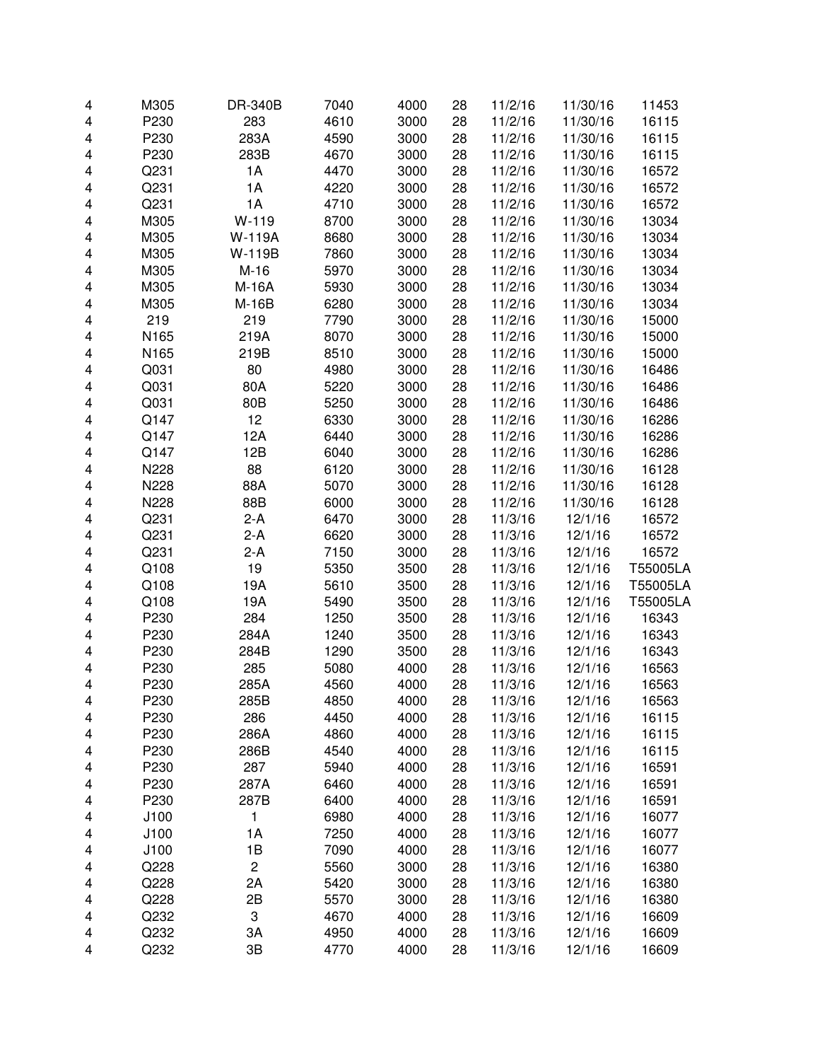| 4 | M305 | DR-340B        | 7040 | 4000 | 28 | 11/2/16 | 11/30/16 | 11453    |
|---|------|----------------|------|------|----|---------|----------|----------|
| 4 | P230 | 283            | 4610 | 3000 | 28 | 11/2/16 | 11/30/16 | 16115    |
| 4 | P230 | 283A           | 4590 | 3000 | 28 | 11/2/16 | 11/30/16 | 16115    |
| 4 | P230 | 283B           | 4670 | 3000 | 28 | 11/2/16 | 11/30/16 | 16115    |
| 4 | Q231 | 1A             | 4470 | 3000 | 28 | 11/2/16 | 11/30/16 | 16572    |
| 4 | Q231 | 1A             | 4220 | 3000 | 28 | 11/2/16 | 11/30/16 | 16572    |
| 4 | Q231 | 1A             | 4710 | 3000 | 28 | 11/2/16 | 11/30/16 | 16572    |
| 4 | M305 | $W-119$        | 8700 | 3000 | 28 | 11/2/16 | 11/30/16 | 13034    |
| 4 | M305 | <b>W-119A</b>  | 8680 | 3000 | 28 | 11/2/16 | 11/30/16 | 13034    |
| 4 | M305 | W-119B         | 7860 | 3000 | 28 | 11/2/16 | 11/30/16 | 13034    |
| 4 | M305 | $M-16$         | 5970 | 3000 | 28 | 11/2/16 | 11/30/16 | 13034    |
| 4 | M305 | M-16A          | 5930 | 3000 | 28 | 11/2/16 | 11/30/16 | 13034    |
| 4 | M305 | M-16B          | 6280 | 3000 | 28 | 11/2/16 | 11/30/16 | 13034    |
| 4 | 219  | 219            | 7790 | 3000 | 28 | 11/2/16 | 11/30/16 | 15000    |
| 4 | N165 | 219A           | 8070 | 3000 | 28 | 11/2/16 | 11/30/16 | 15000    |
| 4 | N165 | 219B           | 8510 | 3000 | 28 | 11/2/16 | 11/30/16 | 15000    |
| 4 | Q031 | 80             | 4980 | 3000 | 28 | 11/2/16 | 11/30/16 | 16486    |
| 4 | Q031 | 80A            | 5220 | 3000 | 28 | 11/2/16 | 11/30/16 | 16486    |
| 4 | Q031 | 80B            | 5250 | 3000 | 28 | 11/2/16 | 11/30/16 | 16486    |
| 4 | Q147 | 12             | 6330 | 3000 | 28 | 11/2/16 | 11/30/16 | 16286    |
| 4 | Q147 | 12A            | 6440 | 3000 | 28 | 11/2/16 | 11/30/16 | 16286    |
| 4 | Q147 | 12B            | 6040 | 3000 | 28 | 11/2/16 | 11/30/16 | 16286    |
| 4 | N228 | 88             | 6120 | 3000 | 28 | 11/2/16 | 11/30/16 | 16128    |
| 4 | N228 | 88A            | 5070 | 3000 | 28 | 11/2/16 | 11/30/16 | 16128    |
| 4 | N228 | 88B            | 6000 | 3000 | 28 | 11/2/16 | 11/30/16 | 16128    |
| 4 | Q231 | $2-A$          | 6470 | 3000 | 28 | 11/3/16 | 12/1/16  | 16572    |
| 4 | Q231 | $2-A$          | 6620 | 3000 | 28 | 11/3/16 | 12/1/16  | 16572    |
| 4 | Q231 | $2-A$          | 7150 | 3000 | 28 | 11/3/16 | 12/1/16  | 16572    |
| 4 | Q108 | 19             | 5350 | 3500 | 28 | 11/3/16 | 12/1/16  | T55005LA |
| 4 | Q108 | 19A            | 5610 | 3500 | 28 | 11/3/16 | 12/1/16  | T55005LA |
| 4 | Q108 | 19A            | 5490 | 3500 | 28 | 11/3/16 | 12/1/16  | T55005LA |
| 4 | P230 | 284            | 1250 | 3500 | 28 | 11/3/16 | 12/1/16  | 16343    |
| 4 | P230 | 284A           | 1240 | 3500 | 28 | 11/3/16 | 12/1/16  | 16343    |
| 4 | P230 | 284B           | 1290 | 3500 | 28 | 11/3/16 | 12/1/16  | 16343    |
| 4 | P230 | 285            | 5080 | 4000 | 28 | 11/3/16 | 12/1/16  | 16563    |
| 4 | P230 | 285A           | 4560 | 4000 | 28 | 11/3/16 | 12/1/16  | 16563    |
| 4 | P230 | 285B           | 4850 | 4000 | 28 | 11/3/16 | 12/1/16  | 16563    |
| 4 | P230 | 286            | 4450 | 4000 | 28 | 11/3/16 | 12/1/16  | 16115    |
| 4 | P230 | 286A           | 4860 | 4000 | 28 | 11/3/16 | 12/1/16  | 16115    |
| 4 | P230 | 286B           | 4540 | 4000 | 28 | 11/3/16 | 12/1/16  | 16115    |
| 4 | P230 | 287            | 5940 | 4000 | 28 | 11/3/16 | 12/1/16  | 16591    |
| 4 | P230 | 287A           | 6460 | 4000 | 28 | 11/3/16 | 12/1/16  | 16591    |
| 4 | P230 | 287B           | 6400 | 4000 | 28 | 11/3/16 | 12/1/16  | 16591    |
| 4 | J100 | 1              | 6980 | 4000 | 28 | 11/3/16 | 12/1/16  | 16077    |
| 4 | J100 | 1A             | 7250 | 4000 | 28 | 11/3/16 | 12/1/16  | 16077    |
| 4 | J100 | 1B             | 7090 | 4000 | 28 | 11/3/16 | 12/1/16  | 16077    |
| 4 | Q228 | $\overline{c}$ | 5560 | 3000 | 28 | 11/3/16 | 12/1/16  | 16380    |
| 4 | Q228 | 2A             | 5420 | 3000 | 28 | 11/3/16 | 12/1/16  | 16380    |
| 4 | Q228 | 2B             | 5570 | 3000 | 28 | 11/3/16 | 12/1/16  | 16380    |
| 4 | Q232 | 3              | 4670 | 4000 | 28 | 11/3/16 | 12/1/16  | 16609    |
| 4 | Q232 | 3A             | 4950 | 4000 | 28 | 11/3/16 | 12/1/16  | 16609    |
| 4 | Q232 | 3B             | 4770 | 4000 | 28 | 11/3/16 | 12/1/16  | 16609    |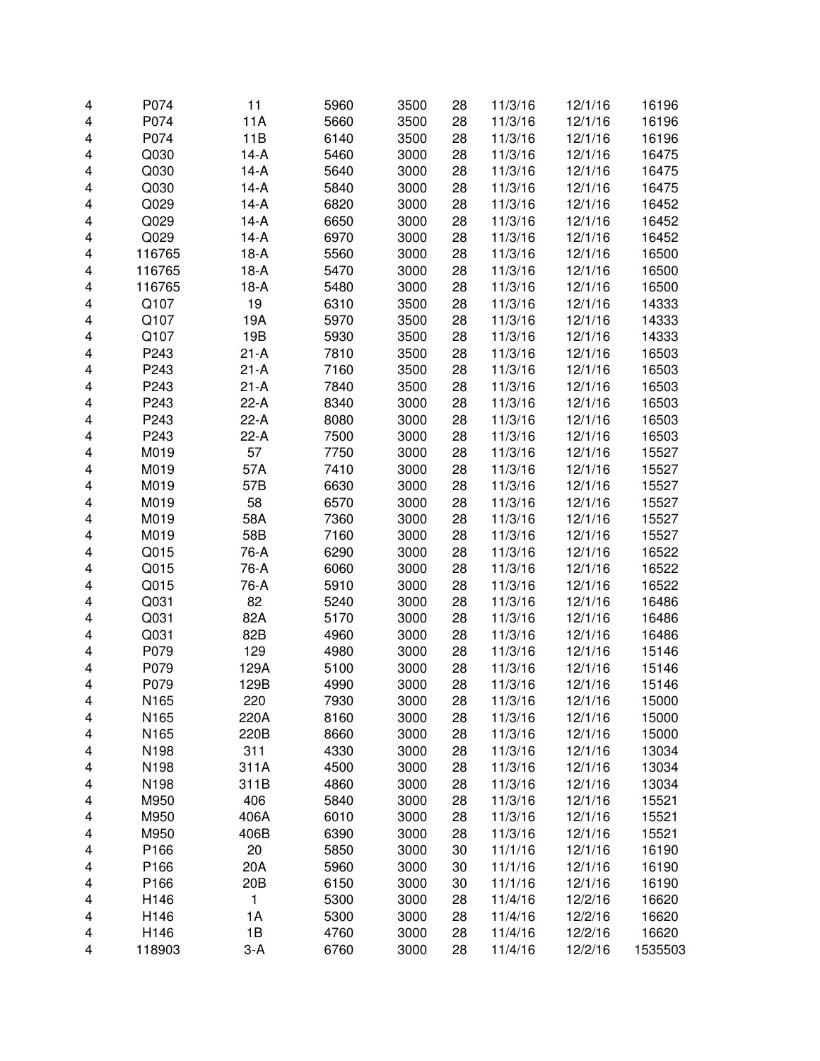| 4 | P074   | 11               | 5960 | 3500 | 28 | 11/3/16 | 12/1/16 | 16196   |
|---|--------|------------------|------|------|----|---------|---------|---------|
| 4 | P074   | 11A              | 5660 | 3500 | 28 | 11/3/16 | 12/1/16 | 16196   |
| 4 | P074   | 11B              | 6140 | 3500 | 28 | 11/3/16 | 12/1/16 | 16196   |
| 4 | Q030   | $14-A$           | 5460 | 3000 | 28 | 11/3/16 | 12/1/16 | 16475   |
| 4 | Q030   | $14-A$           | 5640 | 3000 | 28 | 11/3/16 | 12/1/16 | 16475   |
|   | Q030   | $14-A$           | 5840 | 3000 | 28 | 11/3/16 | 12/1/16 | 16475   |
| 4 | Q029   |                  |      |      |    |         |         |         |
| 4 |        | $14-A$<br>$14-A$ | 6820 | 3000 | 28 | 11/3/16 | 12/1/16 | 16452   |
| 4 | Q029   | $14-A$           | 6650 | 3000 | 28 | 11/3/16 | 12/1/16 | 16452   |
| 4 | Q029   |                  | 6970 | 3000 | 28 | 11/3/16 | 12/1/16 | 16452   |
| 4 | 116765 | $18-A$           | 5560 | 3000 | 28 | 11/3/16 | 12/1/16 | 16500   |
| 4 | 116765 | $18-A$           | 5470 | 3000 | 28 | 11/3/16 | 12/1/16 | 16500   |
| 4 | 116765 | $18-A$           | 5480 | 3000 | 28 | 11/3/16 | 12/1/16 | 16500   |
| 4 | Q107   | 19               | 6310 | 3500 | 28 | 11/3/16 | 12/1/16 | 14333   |
| 4 | Q107   | 19A              | 5970 | 3500 | 28 | 11/3/16 | 12/1/16 | 14333   |
| 4 | Q107   | 19B              | 5930 | 3500 | 28 | 11/3/16 | 12/1/16 | 14333   |
| 4 | P243   | $21-A$           | 7810 | 3500 | 28 | 11/3/16 | 12/1/16 | 16503   |
| 4 | P243   | $21 - A$         | 7160 | 3500 | 28 | 11/3/16 | 12/1/16 | 16503   |
| 4 | P243   | $21-A$           | 7840 | 3500 | 28 | 11/3/16 | 12/1/16 | 16503   |
| 4 | P243   | $22-A$           | 8340 | 3000 | 28 | 11/3/16 | 12/1/16 | 16503   |
| 4 | P243   | $22-A$           | 8080 | 3000 | 28 | 11/3/16 | 12/1/16 | 16503   |
| 4 | P243   | $22-A$           | 7500 | 3000 | 28 | 11/3/16 | 12/1/16 | 16503   |
| 4 | M019   | 57               | 7750 | 3000 | 28 | 11/3/16 | 12/1/16 | 15527   |
| 4 | M019   | 57A              | 7410 | 3000 | 28 | 11/3/16 | 12/1/16 | 15527   |
| 4 | M019   | 57B              | 6630 | 3000 | 28 | 11/3/16 | 12/1/16 | 15527   |
| 4 | M019   | 58               | 6570 | 3000 | 28 | 11/3/16 | 12/1/16 | 15527   |
| 4 | M019   | 58A              | 7360 | 3000 | 28 | 11/3/16 | 12/1/16 | 15527   |
| 4 | M019   | 58B              | 7160 | 3000 | 28 | 11/3/16 | 12/1/16 | 15527   |
| 4 | Q015   | 76-A             | 6290 | 3000 | 28 | 11/3/16 | 12/1/16 | 16522   |
| 4 | Q015   | 76-A             | 6060 | 3000 | 28 | 11/3/16 | 12/1/16 | 16522   |
| 4 | Q015   | 76-A             | 5910 | 3000 | 28 | 11/3/16 | 12/1/16 | 16522   |
| 4 | Q031   | 82               | 5240 | 3000 | 28 | 11/3/16 | 12/1/16 | 16486   |
| 4 | Q031   | 82A              | 5170 | 3000 | 28 | 11/3/16 | 12/1/16 | 16486   |
| 4 | Q031   | 82B              | 4960 | 3000 | 28 | 11/3/16 | 12/1/16 | 16486   |
| 4 | P079   | 129              | 4980 | 3000 | 28 | 11/3/16 | 12/1/16 | 15146   |
| 4 | P079   | 129A             | 5100 | 3000 | 28 | 11/3/16 | 12/1/16 | 15146   |
| 4 | P079   | 129B             | 4990 | 3000 | 28 | 11/3/16 | 12/1/16 | 15146   |
| 4 | N165   | 220              | 7930 | 3000 | 28 | 11/3/16 | 12/1/16 | 15000   |
| 4 | N165   | 220A             | 8160 | 3000 | 28 | 11/3/16 | 12/1/16 | 15000   |
| 4 | N165   | 220B             | 8660 | 3000 | 28 | 11/3/16 | 12/1/16 | 15000   |
| 4 | N198   | 311              | 4330 | 3000 | 28 | 11/3/16 | 12/1/16 | 13034   |
| 4 | N198   | 311A             | 4500 | 3000 | 28 | 11/3/16 | 12/1/16 | 13034   |
| 4 | N198   | 311B             | 4860 | 3000 | 28 | 11/3/16 | 12/1/16 | 13034   |
| 4 | M950   | 406              | 5840 | 3000 | 28 | 11/3/16 | 12/1/16 | 15521   |
| 4 | M950   | 406A             | 6010 | 3000 | 28 | 11/3/16 | 12/1/16 | 15521   |
| 4 | M950   | 406B             | 6390 | 3000 | 28 | 11/3/16 | 12/1/16 | 15521   |
| 4 | P166   | 20               | 5850 | 3000 | 30 | 11/1/16 | 12/1/16 | 16190   |
| 4 | P166   | 20A              | 5960 | 3000 | 30 | 11/1/16 | 12/1/16 | 16190   |
| 4 | P166   | 20 <sub>B</sub>  | 6150 | 3000 | 30 | 11/1/16 | 12/1/16 | 16190   |
| 4 | H146   | 1                | 5300 | 3000 | 28 | 11/4/16 | 12/2/16 | 16620   |
| 4 | H146   | 1A               | 5300 | 3000 | 28 | 11/4/16 | 12/2/16 | 16620   |
| 4 | H146   | 1B               | 4760 | 3000 | 28 | 11/4/16 | 12/2/16 | 16620   |
| 4 | 118903 | $3-A$            | 6760 | 3000 | 28 | 11/4/16 | 12/2/16 | 1535503 |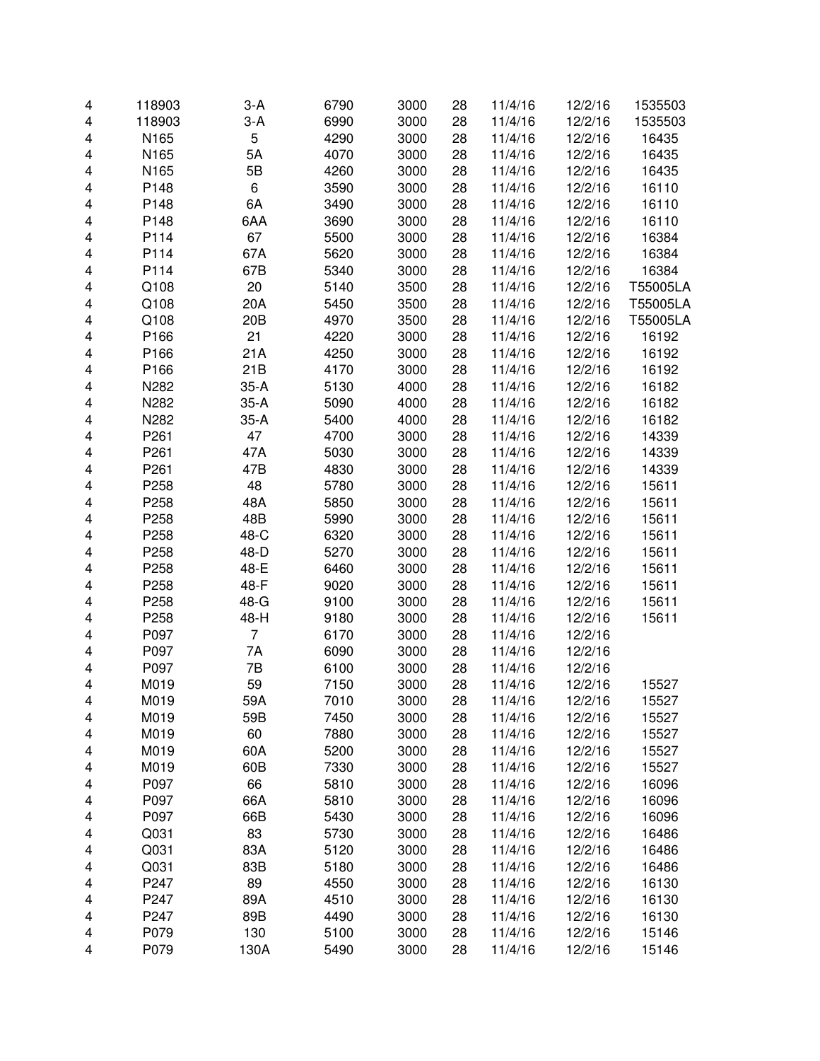| 4 | 118903 | $3-A$           | 6790 | 3000 | 28 | 11/4/16 | 12/2/16 | 1535503  |
|---|--------|-----------------|------|------|----|---------|---------|----------|
| 4 | 118903 | $3-A$           | 6990 | 3000 | 28 | 11/4/16 | 12/2/16 | 1535503  |
| 4 | N165   | 5               | 4290 | 3000 | 28 | 11/4/16 | 12/2/16 | 16435    |
| 4 | N165   | 5A              | 4070 | 3000 | 28 | 11/4/16 | 12/2/16 | 16435    |
| 4 | N165   | 5B              | 4260 | 3000 | 28 | 11/4/16 | 12/2/16 | 16435    |
| 4 | P148   | 6               | 3590 | 3000 | 28 | 11/4/16 | 12/2/16 | 16110    |
| 4 | P148   | 6A              | 3490 | 3000 | 28 | 11/4/16 | 12/2/16 | 16110    |
| 4 | P148   | 6AA             | 3690 | 3000 | 28 | 11/4/16 | 12/2/16 | 16110    |
| 4 | P114   | 67              | 5500 | 3000 | 28 | 11/4/16 | 12/2/16 | 16384    |
| 4 | P114   | 67A             | 5620 | 3000 | 28 | 11/4/16 | 12/2/16 | 16384    |
| 4 | P114   | 67B             | 5340 | 3000 | 28 | 11/4/16 | 12/2/16 | 16384    |
| 4 | Q108   | 20              | 5140 | 3500 | 28 | 11/4/16 | 12/2/16 | T55005LA |
| 4 | Q108   | 20A             | 5450 | 3500 | 28 | 11/4/16 | 12/2/16 | T55005LA |
| 4 | Q108   | 20 <sub>B</sub> | 4970 | 3500 | 28 | 11/4/16 | 12/2/16 | T55005LA |
| 4 | P166   | 21              | 4220 | 3000 | 28 | 11/4/16 | 12/2/16 | 16192    |
| 4 | P166   | 21A             | 4250 | 3000 | 28 | 11/4/16 | 12/2/16 | 16192    |
| 4 | P166   | 21B             | 4170 | 3000 | 28 | 11/4/16 | 12/2/16 | 16192    |
| 4 | N282   | $35-A$          | 5130 | 4000 | 28 | 11/4/16 | 12/2/16 | 16182    |
| 4 | N282   | $35-A$          | 5090 | 4000 | 28 | 11/4/16 | 12/2/16 | 16182    |
| 4 | N282   | $35-A$          | 5400 | 4000 | 28 | 11/4/16 | 12/2/16 | 16182    |
| 4 | P261   | 47              | 4700 | 3000 | 28 | 11/4/16 | 12/2/16 | 14339    |
| 4 | P261   | 47A             | 5030 | 3000 | 28 | 11/4/16 | 12/2/16 | 14339    |
| 4 | P261   | 47B             | 4830 | 3000 | 28 | 11/4/16 | 12/2/16 | 14339    |
| 4 | P258   | 48              | 5780 | 3000 | 28 | 11/4/16 | 12/2/16 | 15611    |
| 4 | P258   | 48A             | 5850 | 3000 | 28 | 11/4/16 | 12/2/16 | 15611    |
| 4 | P258   | 48B             | 5990 | 3000 | 28 | 11/4/16 | 12/2/16 | 15611    |
| 4 | P258   | 48-C            | 6320 | 3000 | 28 | 11/4/16 | 12/2/16 | 15611    |
| 4 | P258   | 48-D            | 5270 | 3000 | 28 | 11/4/16 | 12/2/16 | 15611    |
| 4 | P258   | 48-E            | 6460 | 3000 | 28 | 11/4/16 | 12/2/16 | 15611    |
| 4 | P258   | 48-F            | 9020 | 3000 | 28 | 11/4/16 | 12/2/16 | 15611    |
| 4 | P258   | 48-G            | 9100 | 3000 | 28 | 11/4/16 | 12/2/16 | 15611    |
| 4 | P258   | 48-H            | 9180 | 3000 | 28 | 11/4/16 | 12/2/16 | 15611    |
| 4 | P097   | $\overline{7}$  | 6170 | 3000 | 28 | 11/4/16 | 12/2/16 |          |
| 4 | P097   | 7A              | 6090 | 3000 | 28 | 11/4/16 | 12/2/16 |          |
| 4 | P097   | 7B              | 6100 | 3000 | 28 | 11/4/16 | 12/2/16 |          |
| 4 | M019   | 59              | 7150 | 3000 | 28 | 11/4/16 | 12/2/16 | 15527    |
| 4 | M019   | 59A             | 7010 | 3000 | 28 | 11/4/16 | 12/2/16 | 15527    |
| 4 | M019   | 59B             | 7450 | 3000 | 28 | 11/4/16 | 12/2/16 | 15527    |
| 4 | M019   | 60              | 7880 | 3000 | 28 | 11/4/16 | 12/2/16 | 15527    |
| 4 | M019   | 60A             | 5200 | 3000 | 28 | 11/4/16 | 12/2/16 | 15527    |
| 4 | M019   | 60B             | 7330 | 3000 | 28 | 11/4/16 | 12/2/16 | 15527    |
| 4 | P097   | 66              | 5810 | 3000 | 28 | 11/4/16 | 12/2/16 | 16096    |
| 4 | P097   | 66A             | 5810 | 3000 | 28 | 11/4/16 | 12/2/16 | 16096    |
| 4 | P097   | 66B             | 5430 | 3000 | 28 | 11/4/16 | 12/2/16 | 16096    |
| 4 | Q031   | 83              | 5730 | 3000 | 28 | 11/4/16 | 12/2/16 | 16486    |
| 4 | Q031   | 83A             | 5120 | 3000 | 28 | 11/4/16 | 12/2/16 | 16486    |
| 4 | Q031   | 83B             | 5180 | 3000 | 28 | 11/4/16 | 12/2/16 | 16486    |
| 4 | P247   | 89              | 4550 | 3000 | 28 | 11/4/16 | 12/2/16 | 16130    |
| 4 | P247   | 89A             | 4510 | 3000 | 28 | 11/4/16 | 12/2/16 | 16130    |
| 4 | P247   | 89B             | 4490 | 3000 | 28 | 11/4/16 | 12/2/16 | 16130    |
| 4 | P079   | 130             | 5100 | 3000 | 28 | 11/4/16 | 12/2/16 | 15146    |
| 4 | P079   | 130A            | 5490 | 3000 | 28 | 11/4/16 | 12/2/16 | 15146    |